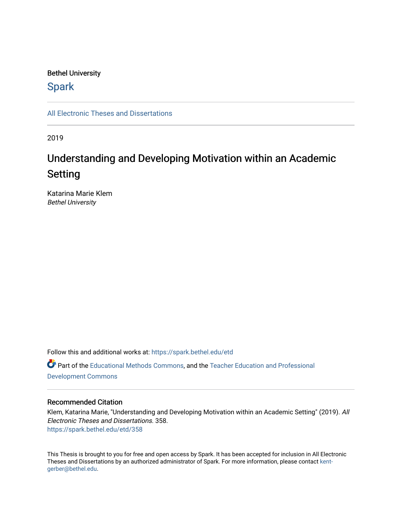# Bethel University

# **Spark**

[All Electronic Theses and Dissertations](https://spark.bethel.edu/etd) 

2019

# Understanding and Developing Motivation within an Academic Setting

Katarina Marie Klem Bethel University

Follow this and additional works at: [https://spark.bethel.edu/etd](https://spark.bethel.edu/etd?utm_source=spark.bethel.edu%2Fetd%2F358&utm_medium=PDF&utm_campaign=PDFCoverPages) Part of the [Educational Methods Commons,](http://network.bepress.com/hgg/discipline/1227?utm_source=spark.bethel.edu%2Fetd%2F358&utm_medium=PDF&utm_campaign=PDFCoverPages) and the [Teacher Education and Professional](http://network.bepress.com/hgg/discipline/803?utm_source=spark.bethel.edu%2Fetd%2F358&utm_medium=PDF&utm_campaign=PDFCoverPages)  [Development Commons](http://network.bepress.com/hgg/discipline/803?utm_source=spark.bethel.edu%2Fetd%2F358&utm_medium=PDF&utm_campaign=PDFCoverPages) 

# Recommended Citation

Klem, Katarina Marie, "Understanding and Developing Motivation within an Academic Setting" (2019). All Electronic Theses and Dissertations. 358. [https://spark.bethel.edu/etd/358](https://spark.bethel.edu/etd/358?utm_source=spark.bethel.edu%2Fetd%2F358&utm_medium=PDF&utm_campaign=PDFCoverPages)

This Thesis is brought to you for free and open access by Spark. It has been accepted for inclusion in All Electronic Theses and Dissertations by an authorized administrator of Spark. For more information, please contact [kent](mailto:kent-gerber@bethel.edu)[gerber@bethel.edu.](mailto:kent-gerber@bethel.edu)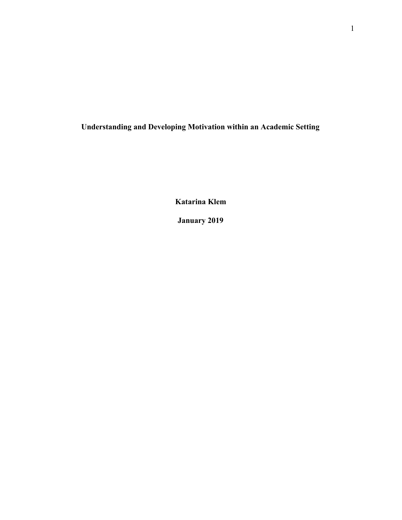**Understanding and Developing Motivation within an Academic Setting**

**Katarina Klem**

**January 2019**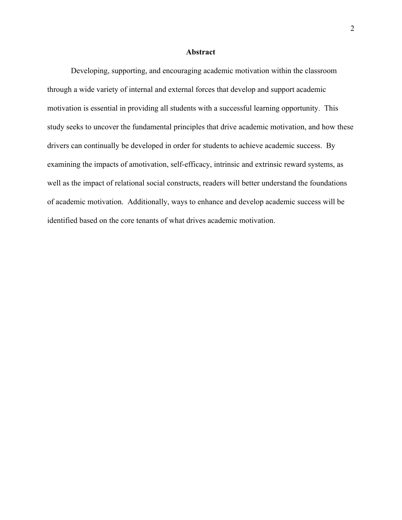# **Abstract**

<span id="page-2-0"></span>Developing, supporting, and encouraging academic motivation within the classroom through a wide variety of internal and external forces that develop and support academic motivation is essential in providing all students with a successful learning opportunity. This study seeks to uncover the fundamental principles that drive academic motivation, and how these drivers can continually be developed in order for students to achieve academic success. By examining the impacts of amotivation, self-efficacy, intrinsic and extrinsic reward systems, as well as the impact of relational social constructs, readers will better understand the foundations of academic motivation. Additionally, ways to enhance and develop academic success will be identified based on the core tenants of what drives academic motivation.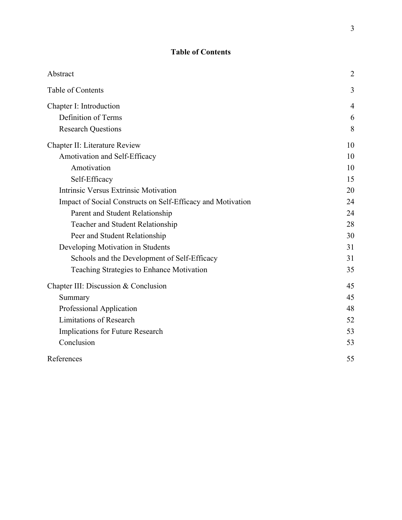# **Table of Contents**

<span id="page-3-0"></span>

| Abstract                                                    | $\overline{2}$ |
|-------------------------------------------------------------|----------------|
| Table of Contents                                           | 3              |
| Chapter I: Introduction                                     | 4              |
| Definition of Terms                                         | 6              |
| <b>Research Questions</b>                                   | 8              |
| Chapter II: Literature Review                               | 10             |
| Amotivation and Self-Efficacy                               | 10             |
| Amotivation                                                 | 10             |
| Self-Efficacy                                               | 15             |
| Intrinsic Versus Extrinsic Motivation                       | 20             |
| Impact of Social Constructs on Self-Efficacy and Motivation | 24             |
| Parent and Student Relationship                             | 24             |
| Teacher and Student Relationship                            | 28             |
| Peer and Student Relationship                               | 30             |
| Developing Motivation in Students                           | 31             |
| Schools and the Development of Self-Efficacy                | 31             |
| Teaching Strategies to Enhance Motivation                   | 35             |
| Chapter III: Discussion & Conclusion                        | 45             |
| Summary                                                     | 45             |
| Professional Application                                    | 48             |
| <b>Limitations of Research</b>                              | 52             |
| Implications for Future Research                            | 53             |
| Conclusion                                                  | 53             |
| References                                                  | 55             |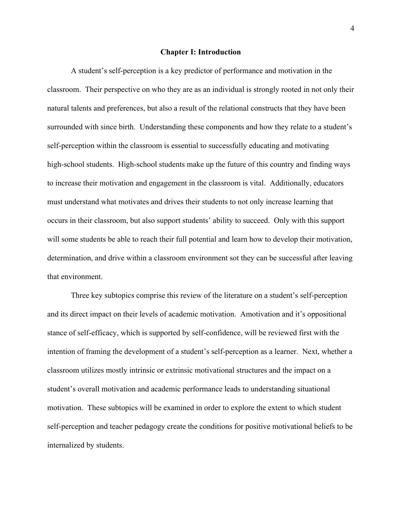#### **Chapter I: Introduction**

<span id="page-4-0"></span>A student's self-perception is a key predictor of performance and motivation in the classroom. Their perspective on who they are as an individual is strongly rooted in not only their natural talents and preferences, but also a result of the relational constructs that they have been surrounded with since birth. Understanding these components and how they relate to a student's self-perception within the classroom is essential to successfully educating and motivating high-school students. High-school students make up the future of this country and finding ways to increase their motivation and engagement in the classroom is vital. Additionally, educators must understand what motivates and drives their students to not only increase learning that occurs in their classroom, but also support students' ability to succeed. Only with this support will some students be able to reach their full potential and learn how to develop their motivation, determination, and drive within a classroom environment sot they can be successful after leaving that environment.

Three key subtopics comprise this review of the literature on a student's self-perception and its direct impact on their levels of academic motivation. Amotivation and it's oppositional stance of self-efficacy, which is supported by self-confidence, will be reviewed first with the intention of framing the development of a student's self-perception as a learner. Next, whether a classroom utilizes mostly intrinsic or extrinsic motivational structures and the impact on a student's overall motivation and academic performance leads to understanding situational motivation. These subtopics will be examined in order to explore the extent to which student self-perception and teacher pedagogy create the conditions for positive motivational beliefs to be internalized by students.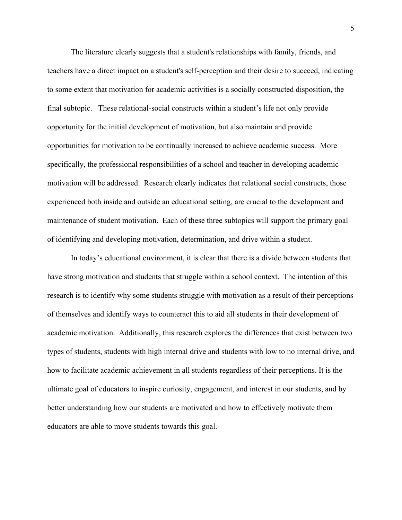The literature clearly suggests that a student's relationships with family, friends, and teachers have a direct impact on a student's self-perception and their desire to succeed, indicating to some extent that motivation for academic activities is a socially constructed disposition, the final subtopic. These relational-social constructs within a student's life not only provide opportunity for the initial development of motivation, but also maintain and provide opportunities for motivation to be continually increased to achieve academic success. More specifically, the professional responsibilities of a school and teacher in developing academic motivation will be addressed. Research clearly indicates that relational social constructs, those experienced both inside and outside an educational setting, are crucial to the development and maintenance of student motivation. Each of these three subtopics will support the primary goal of identifying and developing motivation, determination, and drive within a student.

In today's educational environment, it is clear that there is a divide between students that have strong motivation and students that struggle within a school context. The intention of this research is to identify why some students struggle with motivation as a result of their perceptions of themselves and identify ways to counteract this to aid all students in their development of academic motivation. Additionally, this research explores the differences that exist between two types of students, students with high internal drive and students with low to no internal drive, and how to facilitate academic achievement in all students regardless of their perceptions. It is the ultimate goal of educators to inspire curiosity, engagement, and interest in our students, and by better understanding how our students are motivated and how to effectively motivate them educators are able to move students towards this goal.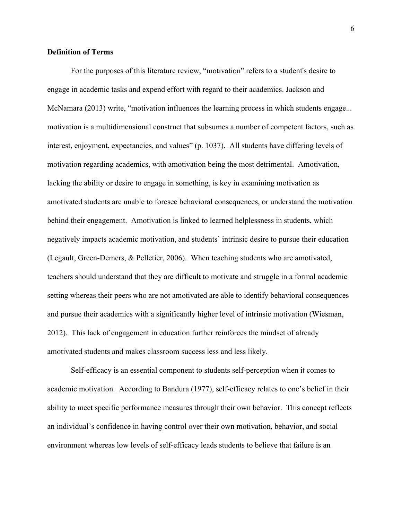# <span id="page-6-0"></span>**Definition of Terms**

For the purposes of this literature review, "motivation" refers to a student's desire to engage in academic tasks and expend effort with regard to their academics. Jackson and McNamara (2013) write, "motivation influences the learning process in which students engage... motivation is a multidimensional construct that subsumes a number of competent factors, such as interest, enjoyment, expectancies, and values" (p. 1037). All students have differing levels of motivation regarding academics, with amotivation being the most detrimental. Amotivation, lacking the ability or desire to engage in something, is key in examining motivation as amotivated students are unable to foresee behavioral consequences, or understand the motivation behind their engagement. Amotivation is linked to learned helplessness in students, which negatively impacts academic motivation, and students' intrinsic desire to pursue their education (Legault, Green-Demers, & Pelletier, 2006). When teaching students who are amotivated, teachers should understand that they are difficult to motivate and struggle in a formal academic setting whereas their peers who are not amotivated are able to identify behavioral consequences and pursue their academics with a significantly higher level of intrinsic motivation (Wiesman, 2012). This lack of engagement in education further reinforces the mindset of already amotivated students and makes classroom success less and less likely.

Self-efficacy is an essential component to students self-perception when it comes to academic motivation. According to Bandura (1977), self-efficacy relates to one's belief in their ability to meet specific performance measures through their own behavior. This concept reflects an individual's confidence in having control over their own motivation, behavior, and social environment whereas low levels of self-efficacy leads students to believe that failure is an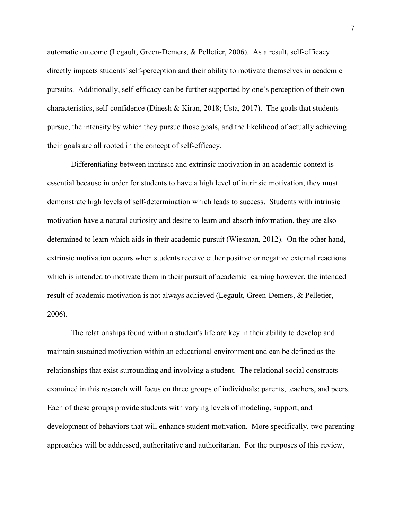automatic outcome (Legault, Green-Demers, & Pelletier, 2006). As a result, self-efficacy directly impacts students' self-perception and their ability to motivate themselves in academic pursuits. Additionally, self-efficacy can be further supported by one's perception of their own characteristics, self-confidence (Dinesh & Kiran, 2018; Usta, 2017). The goals that students pursue, the intensity by which they pursue those goals, and the likelihood of actually achieving their goals are all rooted in the concept of self-efficacy.

Differentiating between intrinsic and extrinsic motivation in an academic context is essential because in order for students to have a high level of intrinsic motivation, they must demonstrate high levels of self-determination which leads to success. Students with intrinsic motivation have a natural curiosity and desire to learn and absorb information, they are also determined to learn which aids in their academic pursuit (Wiesman, 2012). On the other hand, extrinsic motivation occurs when students receive either positive or negative external reactions which is intended to motivate them in their pursuit of academic learning however, the intended result of academic motivation is not always achieved (Legault, Green-Demers, & Pelletier, 2006).

The relationships found within a student's life are key in their ability to develop and maintain sustained motivation within an educational environment and can be defined as the relationships that exist surrounding and involving a student. The relational social constructs examined in this research will focus on three groups of individuals: parents, teachers, and peers. Each of these groups provide students with varying levels of modeling, support, and development of behaviors that will enhance student motivation. More specifically, two parenting approaches will be addressed, authoritative and authoritarian. For the purposes of this review,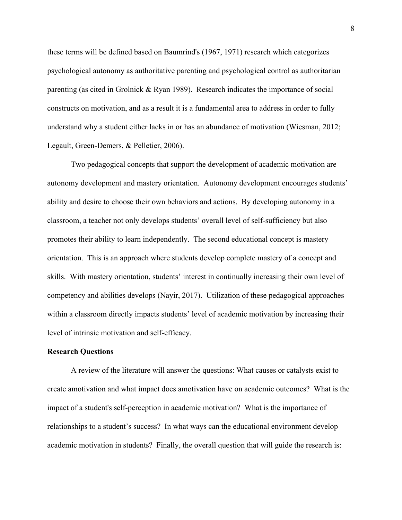these terms will be defined based on Baumrind's (1967, 1971) research which categorizes psychological autonomy as authoritative parenting and psychological control as authoritarian parenting (as cited in Grolnick & Ryan 1989). Research indicates the importance of social constructs on motivation, and as a result it is a fundamental area to address in order to fully understand why a student either lacks in or has an abundance of motivation (Wiesman, 2012; Legault, Green-Demers, & Pelletier, 2006).

Two pedagogical concepts that support the development of academic motivation are autonomy development and mastery orientation. Autonomy development encourages students' ability and desire to choose their own behaviors and actions. By developing autonomy in a classroom, a teacher not only develops students' overall level of self-sufficiency but also promotes their ability to learn independently. The second educational concept is mastery orientation. This is an approach where students develop complete mastery of a concept and skills. With mastery orientation, students' interest in continually increasing their own level of competency and abilities develops (Nayir, 2017). Utilization of these pedagogical approaches within a classroom directly impacts students' level of academic motivation by increasing their level of intrinsic motivation and self-efficacy.

#### <span id="page-8-0"></span>**Research Questions**

A review of the literature will answer the questions: What causes or catalysts exist to create amotivation and what impact does amotivation have on academic outcomes? What is the impact of a student's self-perception in academic motivation? What is the importance of relationships to a student's success? In what ways can the educational environment develop academic motivation in students? Finally, the overall question that will guide the research is: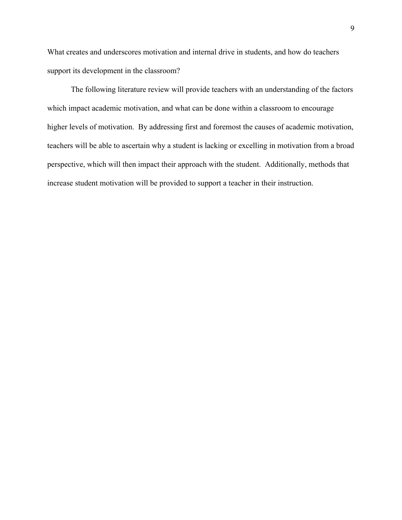What creates and underscores motivation and internal drive in students, and how do teachers support its development in the classroom?

The following literature review will provide teachers with an understanding of the factors which impact academic motivation, and what can be done within a classroom to encourage higher levels of motivation. By addressing first and foremost the causes of academic motivation, teachers will be able to ascertain why a student is lacking or excelling in motivation from a broad perspective, which will then impact their approach with the student. Additionally, methods that increase student motivation will be provided to support a teacher in their instruction.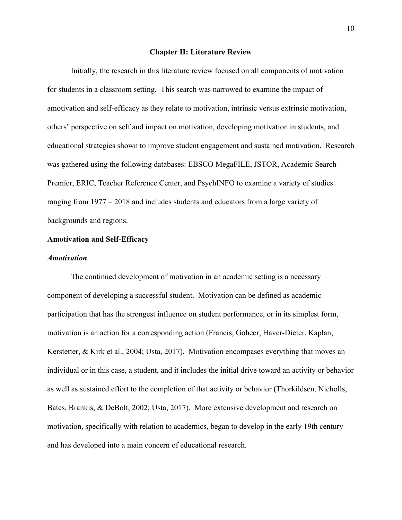#### **Chapter II: Literature Review**

<span id="page-10-0"></span>Initially, the research in this literature review focused on all components of motivation for students in a classroom setting. This search was narrowed to examine the impact of amotivation and self-efficacy as they relate to motivation, intrinsic versus extrinsic motivation, others' perspective on self and impact on motivation, developing motivation in students, and educational strategies shown to improve student engagement and sustained motivation. Research was gathered using the following databases: EBSCO MegaFILE, JSTOR, Academic Search Premier, ERIC, Teacher Reference Center, and PsychINFO to examine a variety of studies ranging from 1977 – 2018 and includes students and educators from a large variety of backgrounds and regions.

# <span id="page-10-1"></span>**Amotivation and Self-Efficacy**

#### <span id="page-10-2"></span>*Amotivation*

The continued development of motivation in an academic setting is a necessary component of developing a successful student. Motivation can be defined as academic participation that has the strongest influence on student performance, or in its simplest form, motivation is an action for a corresponding action (Francis, Goheer, Haver-Dieter, Kaplan, Kerstetter, & Kirk et al., 2004; Usta, 2017). Motivation encompases everything that moves an individual or in this case, a student, and it includes the initial drive toward an activity or behavior as well as sustained effort to the completion of that activity or behavior (Thorkildsen, Nicholls, Bates, Brankis, & DeBolt, 2002; Usta, 2017). More extensive development and research on motivation, specifically with relation to academics, began to develop in the early 19th century and has developed into a main concern of educational research.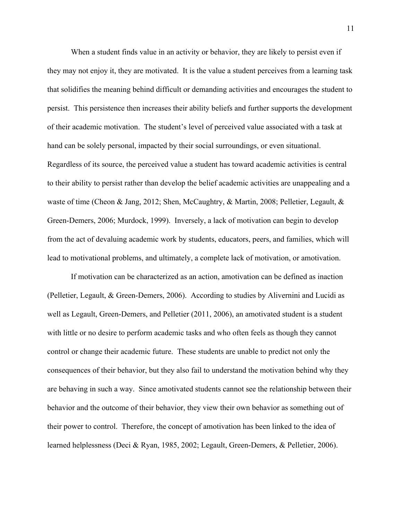When a student finds value in an activity or behavior, they are likely to persist even if they may not enjoy it, they are motivated. It is the value a student perceives from a learning task that solidifies the meaning behind difficult or demanding activities and encourages the student to persist. This persistence then increases their ability beliefs and further supports the development of their academic motivation. The student's level of perceived value associated with a task at hand can be solely personal, impacted by their social surroundings, or even situational. Regardless of its source, the perceived value a student has toward academic activities is central to their ability to persist rather than develop the belief academic activities are unappealing and a waste of time (Cheon & Jang, 2012; Shen, McCaughtry, & Martin, 2008; Pelletier, Legault, & Green-Demers, 2006; Murdock, 1999). Inversely, a lack of motivation can begin to develop from the act of devaluing academic work by students, educators, peers, and families, which will lead to motivational problems, and ultimately, a complete lack of motivation, or amotivation.

If motivation can be characterized as an action, amotivation can be defined as inaction (Pelletier, Legault, & Green-Demers, 2006). According to studies by Alivernini and Lucidi as well as Legault, Green-Demers, and Pelletier (2011, 2006), an amotivated student is a student with little or no desire to perform academic tasks and who often feels as though they cannot control or change their academic future. These students are unable to predict not only the consequences of their behavior, but they also fail to understand the motivation behind why they are behaving in such a way. Since amotivated students cannot see the relationship between their behavior and the outcome of their behavior, they view their own behavior as something out of their power to control. Therefore, the concept of amotivation has been linked to the idea of learned helplessness (Deci & Ryan, 1985, 2002; Legault, Green-Demers, & Pelletier, 2006).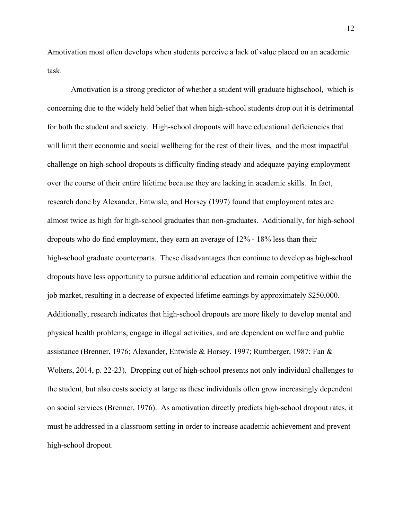Amotivation most often develops when students perceive a lack of value placed on an academic task.

Amotivation is a strong predictor of whether a student will graduate highschool, which is concerning due to the widely held belief that when high-school students drop out it is detrimental for both the student and society. High-school dropouts will have educational deficiencies that will limit their economic and social wellbeing for the rest of their lives, and the most impactful challenge on high-school dropouts is difficulty finding steady and adequate-paying employment over the course of their entire lifetime because they are lacking in academic skills. In fact, research done by Alexander, Entwisle, and Horsey (1997) found that employment rates are almost twice as high for high-school graduates than non-graduates. Additionally, for high-school dropouts who do find employment, they earn an average of 12% - 18% less than their high-school graduate counterparts. These disadvantages then continue to develop as high-school dropouts have less opportunity to pursue additional education and remain competitive within the job market, resulting in a decrease of expected lifetime earnings by approximately \$250,000. Additionally, research indicates that high-school dropouts are more likely to develop mental and physical health problems, engage in illegal activities, and are dependent on welfare and public assistance (Brenner, 1976; Alexander, Entwisle & Horsey, 1997; Rumberger, 1987; Fan & Wolters, 2014, p. 22-23). Dropping out of high-school presents not only individual challenges to the student, but also costs society at large as these individuals often grow increasingly dependent on social services (Brenner, 1976). As amotivation directly predicts high-school dropout rates, it must be addressed in a classroom setting in order to increase academic achievement and prevent high-school dropout.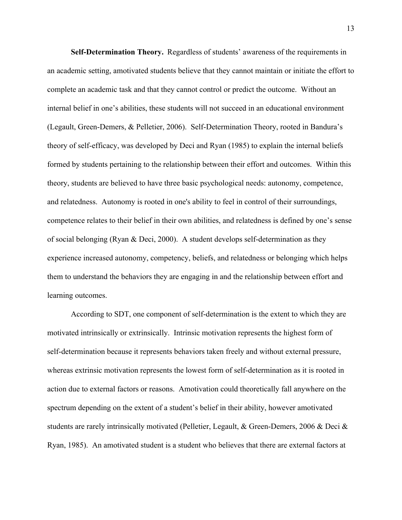**Self-Determination Theory.** Regardless of students' awareness of the requirements in an academic setting, amotivated students believe that they cannot maintain or initiate the effort to complete an academic task and that they cannot control or predict the outcome. Without an internal belief in one's abilities, these students will not succeed in an educational environment (Legault, Green-Demers, & Pelletier, 2006). Self-Determination Theory, rooted in Bandura's theory of self-efficacy, was developed by Deci and Ryan (1985) to explain the internal beliefs formed by students pertaining to the relationship between their effort and outcomes. Within this theory, students are believed to have three basic psychological needs: autonomy, competence, and relatedness. Autonomy is rooted in one's ability to feel in control of their surroundings, competence relates to their belief in their own abilities, and relatedness is defined by one's sense of social belonging (Ryan & Deci, 2000). A student develops self-determination as they experience increased autonomy, competency, beliefs, and relatedness or belonging which helps them to understand the behaviors they are engaging in and the relationship between effort and learning outcomes.

According to SDT, one component of self-determination is the extent to which they are motivated intrinsically or extrinsically. Intrinsic motivation represents the highest form of self-determination because it represents behaviors taken freely and without external pressure, whereas extrinsic motivation represents the lowest form of self-determination as it is rooted in action due to external factors or reasons. Amotivation could theoretically fall anywhere on the spectrum depending on the extent of a student's belief in their ability, however amotivated students are rarely intrinsically motivated (Pelletier, Legault, & Green-Demers, 2006 & Deci & Ryan, 1985). An amotivated student is a student who believes that there are external factors at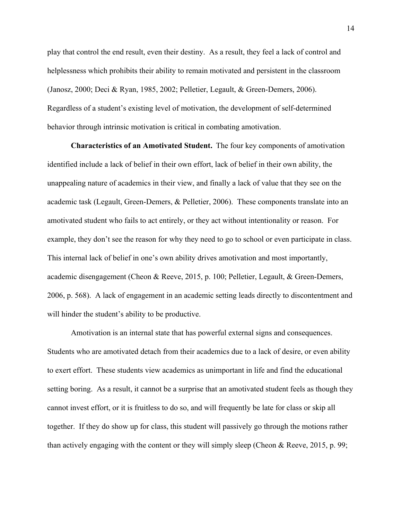play that control the end result, even their destiny. As a result, they feel a lack of control and helplessness which prohibits their ability to remain motivated and persistent in the classroom (Janosz, 2000; Deci & Ryan, 1985, 2002; Pelletier, Legault, & Green-Demers, 2006). Regardless of a student's existing level of motivation, the development of self-determined behavior through intrinsic motivation is critical in combating amotivation.

**Characteristics of an Amotivated Student.** The four key components of amotivation identified include a lack of belief in their own effort, lack of belief in their own ability, the unappealing nature of academics in their view, and finally a lack of value that they see on the academic task (Legault, Green-Demers, & Pelletier, 2006). These components translate into an amotivated student who fails to act entirely, or they act without intentionality or reason. For example, they don't see the reason for why they need to go to school or even participate in class. This internal lack of belief in one's own ability drives amotivation and most importantly, academic disengagement (Cheon & Reeve, 2015, p. 100; Pelletier, Legault, & Green-Demers, 2006, p. 568). A lack of engagement in an academic setting leads directly to discontentment and will hinder the student's ability to be productive.

Amotivation is an internal state that has powerful external signs and consequences. Students who are amotivated detach from their academics due to a lack of desire, or even ability to exert effort. These students view academics as unimportant in life and find the educational setting boring. As a result, it cannot be a surprise that an amotivated student feels as though they cannot invest effort, or it is fruitless to do so, and will frequently be late for class or skip all together. If they do show up for class, this student will passively go through the motions rather than actively engaging with the content or they will simply sleep (Cheon & Reeve, 2015, p. 99;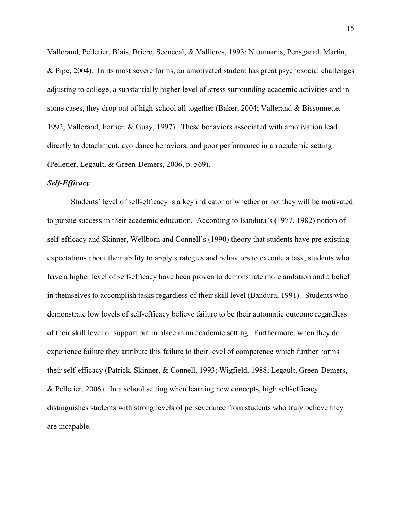Vallerand, Pelletier, Blais, Briere, Seenecal, & Vallieres, 1993; Ntoumanis, Pensgaard, Martin, & Pipe, 2004). In its most severe forms, an amotivated student has great psychosocial challenges adjusting to college, a substantially higher level of stress surrounding academic activities and in some cases, they drop out of high-school all together (Baker, 2004; Vallerand & Bissonnette, 1992; Vallerand, Fortier, & Guay, 1997). These behaviors associated with amotivation lead directly to detachment, avoidance behaviors, and poor performance in an academic setting (Pelletier, Legault, & Green-Demers, 2006, p. 569).

# <span id="page-15-0"></span>*Self-Efficacy*

Students' level of self-efficacy is a key indicator of whether or not they will be motivated to pursue success in their academic education. According to Bandura's (1977, 1982) notion of self-efficacy and Skinner, Wellborn and Connell's (1990) theory that students have pre-existing expectations about their ability to apply strategies and behaviors to execute a task, students who have a higher level of self-efficacy have been proven to demonstrate more ambition and a belief in themselves to accomplish tasks regardless of their skill level (Bandura, 1991). Students who demonstrate low levels of self-efficacy believe failure to be their automatic outcome regardless of their skill level or support put in place in an academic setting. Furthermore, when they do experience failure they attribute this failure to their level of competence which further harms their self-efficacy (Patrick, Skinner, & Connell, 1993; Wigfield, 1988; Legault, Green-Demers, & Pelletier, 2006). In a school setting when learning new concepts, high self-efficacy distinguishes students with strong levels of perseverance from students who truly believe they are incapable.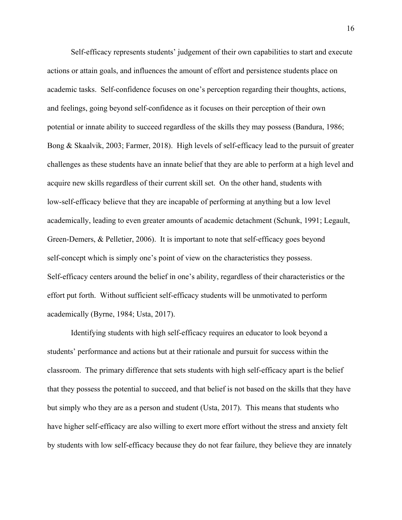Self-efficacy represents students' judgement of their own capabilities to start and execute actions or attain goals, and influences the amount of effort and persistence students place on academic tasks. Self-confidence focuses on one's perception regarding their thoughts, actions, and feelings, going beyond self-confidence as it focuses on their perception of their own potential or innate ability to succeed regardless of the skills they may possess (Bandura, 1986; Bong & Skaalvik, 2003; Farmer, 2018). High levels of self-efficacy lead to the pursuit of greater challenges as these students have an innate belief that they are able to perform at a high level and acquire new skills regardless of their current skill set. On the other hand, students with low-self-efficacy believe that they are incapable of performing at anything but a low level academically, leading to even greater amounts of academic detachment (Schunk, 1991; Legault, Green-Demers, & Pelletier, 2006). It is important to note that self-efficacy goes beyond self-concept which is simply one's point of view on the characteristics they possess. Self-efficacy centers around the belief in one's ability, regardless of their characteristics or the effort put forth. Without sufficient self-efficacy students will be unmotivated to perform academically (Byrne, 1984; Usta, 2017).

Identifying students with high self-efficacy requires an educator to look beyond a students' performance and actions but at their rationale and pursuit for success within the classroom. The primary difference that sets students with high self-efficacy apart is the belief that they possess the potential to succeed, and that belief is not based on the skills that they have but simply who they are as a person and student (Usta, 2017). This means that students who have higher self-efficacy are also willing to exert more effort without the stress and anxiety felt by students with low self-efficacy because they do not fear failure, they believe they are innately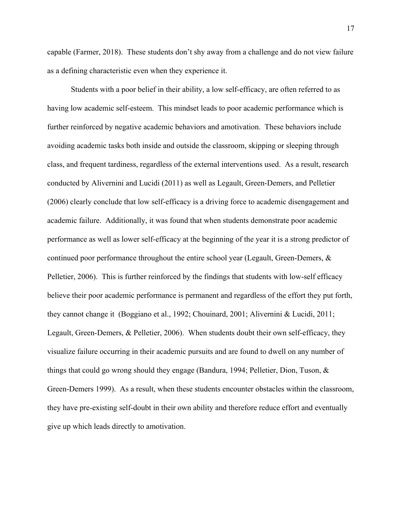capable (Farmer, 2018). These students don't shy away from a challenge and do not view failure as a defining characteristic even when they experience it.

Students with a poor belief in their ability, a low self-efficacy, are often referred to as having low academic self-esteem. This mindset leads to poor academic performance which is further reinforced by negative academic behaviors and amotivation. These behaviors include avoiding academic tasks both inside and outside the classroom, skipping or sleeping through class, and frequent tardiness, regardless of the external interventions used. As a result, research conducted by Alivernini and Lucidi (2011) as well as Legault, Green-Demers, and Pelletier (2006) clearly conclude that low self-efficacy is a driving force to academic disengagement and academic failure. Additionally, it was found that when students demonstrate poor academic performance as well as lower self-efficacy at the beginning of the year it is a strong predictor of continued poor performance throughout the entire school year (Legault, Green-Demers, & Pelletier, 2006). This is further reinforced by the findings that students with low-self efficacy believe their poor academic performance is permanent and regardless of the effort they put forth, they cannot change it (Boggiano et al., 1992; Chouinard, 2001; Alivernini & Lucidi, 2011; Legault, Green-Demers, & Pelletier, 2006). When students doubt their own self-efficacy, they visualize failure occurring in their academic pursuits and are found to dwell on any number of things that could go wrong should they engage (Bandura, 1994; Pelletier, Dion, Tuson, & Green-Demers 1999). As a result, when these students encounter obstacles within the classroom, they have pre-existing self-doubt in their own ability and therefore reduce effort and eventually give up which leads directly to amotivation.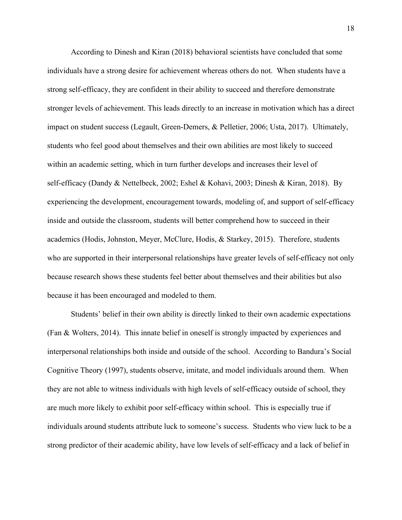According to Dinesh and Kiran (2018) behavioral scientists have concluded that some individuals have a strong desire for achievement whereas others do not. When students have a strong self-efficacy, they are confident in their ability to succeed and therefore demonstrate stronger levels of achievement. This leads directly to an increase in motivation which has a direct impact on student success (Legault, Green-Demers, & Pelletier, 2006; Usta, 2017). Ultimately, students who feel good about themselves and their own abilities are most likely to succeed within an academic setting, which in turn further develops and increases their level of self-efficacy (Dandy & Nettelbeck, 2002; Eshel & Kohavi, 2003; Dinesh & Kiran, 2018). By experiencing the development, encouragement towards, modeling of, and support of self-efficacy inside and outside the classroom, students will better comprehend how to succeed in their academics (Hodis, Johnston, Meyer, McClure, Hodis, & Starkey, 2015). Therefore, students who are supported in their interpersonal relationships have greater levels of self-efficacy not only because research shows these students feel better about themselves and their abilities but also because it has been encouraged and modeled to them.

Students' belief in their own ability is directly linked to their own academic expectations (Fan & Wolters, 2014). This innate belief in oneself is strongly impacted by experiences and interpersonal relationships both inside and outside of the school. According to Bandura's Social Cognitive Theory (1997), students observe, imitate, and model individuals around them. When they are not able to witness individuals with high levels of self-efficacy outside of school, they are much more likely to exhibit poor self-efficacy within school. This is especially true if individuals around students attribute luck to someone's success. Students who view luck to be a strong predictor of their academic ability, have low levels of self-efficacy and a lack of belief in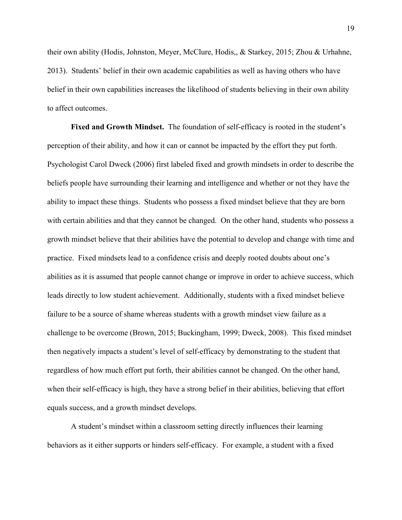their own ability (Hodis, Johnston, Meyer, McClure, Hodis,, & Starkey, 2015; Zhou & Urhahne, 2013). Students' belief in their own academic capabilities as well as having others who have belief in their own capabilities increases the likelihood of students believing in their own ability to affect outcomes.

**Fixed and Growth Mindset.** The foundation of self-efficacy is rooted in the student's perception of their ability, and how it can or cannot be impacted by the effort they put forth. Psychologist Carol Dweck (2006) first labeled fixed and growth mindsets in order to describe the beliefs people have surrounding their learning and intelligence and whether or not they have the ability to impact these things. Students who possess a fixed mindset believe that they are born with certain abilities and that they cannot be changed. On the other hand, students who possess a growth mindset believe that their abilities have the potential to develop and change with time and practice. Fixed mindsets lead to a confidence crisis and deeply rooted doubts about one's abilities as it is assumed that people cannot change or improve in order to achieve success, which leads directly to low student achievement. Additionally, students with a fixed mindset believe failure to be a source of shame whereas students with a growth mindset view failure as a challenge to be overcome (Brown, 2015; Buckingham, 1999; Dweck, 2008). This fixed mindset then negatively impacts a student's level of self-efficacy by demonstrating to the student that regardless of how much effort put forth, their abilities cannot be changed. On the other hand, when their self-efficacy is high, they have a strong belief in their abilities, believing that effort equals success, and a growth mindset develops.

A student's mindset within a classroom setting directly influences their learning behaviors as it either supports or hinders self-efficacy. For example, a student with a fixed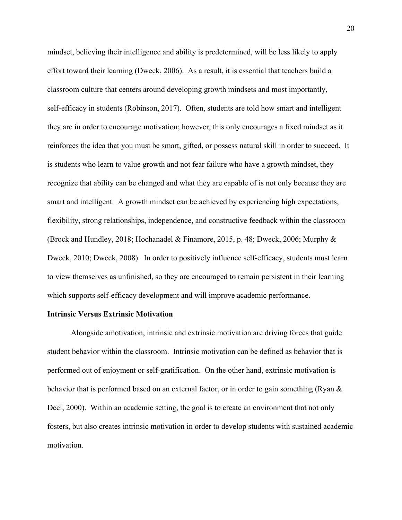mindset, believing their intelligence and ability is predetermined, will be less likely to apply effort toward their learning (Dweck, 2006). As a result, it is essential that teachers build a classroom culture that centers around developing growth mindsets and most importantly, self-efficacy in students (Robinson, 2017). Often, students are told how smart and intelligent they are in order to encourage motivation; however, this only encourages a fixed mindset as it reinforces the idea that you must be smart, gifted, or possess natural skill in order to succeed. It is students who learn to value growth and not fear failure who have a growth mindset, they recognize that ability can be changed and what they are capable of is not only because they are smart and intelligent. A growth mindset can be achieved by experiencing high expectations, flexibility, strong relationships, independence, and constructive feedback within the classroom (Brock and Hundley, 2018; Hochanadel & Finamore, 2015, p. 48; Dweck, 2006; Murphy & Dweck, 2010; Dweck, 2008). In order to positively influence self-efficacy, students must learn to view themselves as unfinished, so they are encouraged to remain persistent in their learning which supports self-efficacy development and will improve academic performance.

#### <span id="page-20-0"></span>**Intrinsic Versus Extrinsic Motivation**

Alongside amotivation, intrinsic and extrinsic motivation are driving forces that guide student behavior within the classroom. Intrinsic motivation can be defined as behavior that is performed out of enjoyment or self-gratification. On the other hand, extrinsic motivation is behavior that is performed based on an external factor, or in order to gain something (Ryan & Deci, 2000). Within an academic setting, the goal is to create an environment that not only fosters, but also creates intrinsic motivation in order to develop students with sustained academic motivation.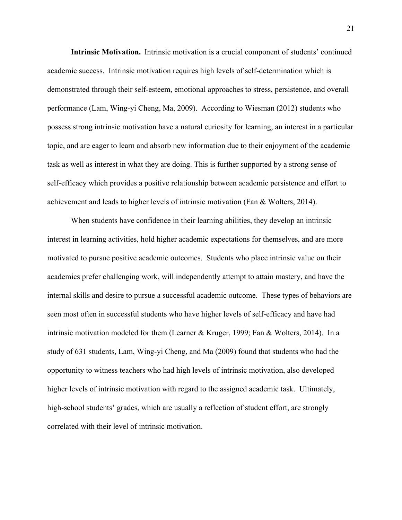**Intrinsic Motivation.** Intrinsic motivation is a crucial component of students' continued academic success. Intrinsic motivation requires high levels of self-determination which is demonstrated through their self-esteem, emotional approaches to stress, persistence, and overall performance (Lam, Wing-yi Cheng, Ma, 2009). According to Wiesman (2012) students who possess strong intrinsic motivation have a natural curiosity for learning, an interest in a particular topic, and are eager to learn and absorb new information due to their enjoyment of the academic task as well as interest in what they are doing. This is further supported by a strong sense of self-efficacy which provides a positive relationship between academic persistence and effort to achievement and leads to higher levels of intrinsic motivation (Fan & Wolters, 2014).

When students have confidence in their learning abilities, they develop an intrinsic interest in learning activities, hold higher academic expectations for themselves, and are more motivated to pursue positive academic outcomes. Students who place intrinsic value on their academics prefer challenging work, will independently attempt to attain mastery, and have the internal skills and desire to pursue a successful academic outcome. These types of behaviors are seen most often in successful students who have higher levels of self-efficacy and have had intrinsic motivation modeled for them (Learner & Kruger, 1999; Fan & Wolters, 2014). In a study of 631 students, Lam, Wing-yi Cheng, and Ma (2009) found that students who had the opportunity to witness teachers who had high levels of intrinsic motivation, also developed higher levels of intrinsic motivation with regard to the assigned academic task. Ultimately, high-school students' grades, which are usually a reflection of student effort, are strongly correlated with their level of intrinsic motivation.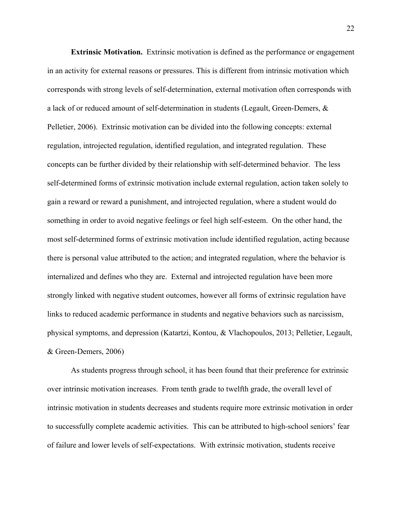**Extrinsic Motivation.** Extrinsic motivation is defined as the performance or engagement in an activity for external reasons or pressures. This is different from intrinsic motivation which corresponds with strong levels of self-determination, external motivation often corresponds with a lack of or reduced amount of self-determination in students (Legault, Green-Demers, & Pelletier, 2006). Extrinsic motivation can be divided into the following concepts: external regulation, introjected regulation, identified regulation, and integrated regulation. These concepts can be further divided by their relationship with self-determined behavior. The less self-determined forms of extrinsic motivation include external regulation, action taken solely to gain a reward or reward a punishment, and introjected regulation, where a student would do something in order to avoid negative feelings or feel high self-esteem. On the other hand, the most self-determined forms of extrinsic motivation include identified regulation, acting because there is personal value attributed to the action; and integrated regulation, where the behavior is internalized and defines who they are. External and introjected regulation have been more strongly linked with negative student outcomes, however all forms of extrinsic regulation have links to reduced academic performance in students and negative behaviors such as narcissism, physical symptoms, and depression (Katartzi, Kontou, & Vlachopoulos, 2013; Pelletier, Legault, & Green-Demers, 2006)

As students progress through school, it has been found that their preference for extrinsic over intrinsic motivation increases. From tenth grade to twelfth grade, the overall level of intrinsic motivation in students decreases and students require more extrinsic motivation in order to successfully complete academic activities. This can be attributed to high-school seniors' fear of failure and lower levels of self-expectations. With extrinsic motivation, students receive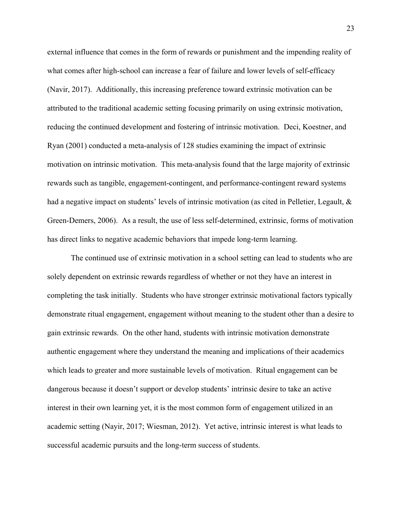external influence that comes in the form of rewards or punishment and the impending reality of what comes after high-school can increase a fear of failure and lower levels of self-efficacy (Navir, 2017). Additionally, this increasing preference toward extrinsic motivation can be attributed to the traditional academic setting focusing primarily on using extrinsic motivation, reducing the continued development and fostering of intrinsic motivation. Deci, Koestner, and Ryan (2001) conducted a meta-analysis of 128 studies examining the impact of extrinsic motivation on intrinsic motivation. This meta-analysis found that the large majority of extrinsic rewards such as tangible, engagement-contingent, and performance-contingent reward systems had a negative impact on students' levels of intrinsic motivation (as cited in Pelletier, Legault, & Green-Demers, 2006). As a result, the use of less self-determined, extrinsic, forms of motivation has direct links to negative academic behaviors that impede long-term learning.

The continued use of extrinsic motivation in a school setting can lead to students who are solely dependent on extrinsic rewards regardless of whether or not they have an interest in completing the task initially. Students who have stronger extrinsic motivational factors typically demonstrate ritual engagement, engagement without meaning to the student other than a desire to gain extrinsic rewards. On the other hand, students with intrinsic motivation demonstrate authentic engagement where they understand the meaning and implications of their academics which leads to greater and more sustainable levels of motivation. Ritual engagement can be dangerous because it doesn't support or develop students' intrinsic desire to take an active interest in their own learning yet, it is the most common form of engagement utilized in an academic setting (Nayir, 2017; Wiesman, 2012). Yet active, intrinsic interest is what leads to successful academic pursuits and the long-term success of students.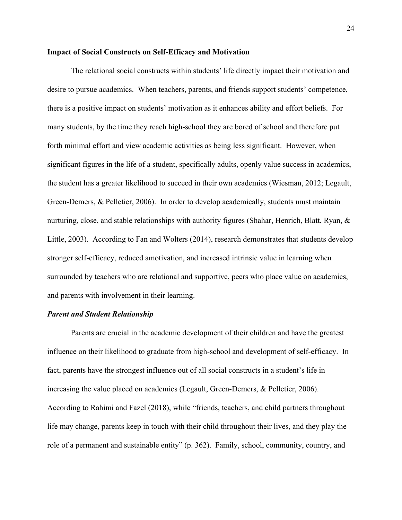#### <span id="page-24-0"></span>**Impact of Social Constructs on Self-Efficacy and Motivation**

The relational social constructs within students' life directly impact their motivation and desire to pursue academics. When teachers, parents, and friends support students' competence, there is a positive impact on students' motivation as it enhances ability and effort beliefs. For many students, by the time they reach high-school they are bored of school and therefore put forth minimal effort and view academic activities as being less significant. However, when significant figures in the life of a student, specifically adults, openly value success in academics, the student has a greater likelihood to succeed in their own academics (Wiesman, 2012; Legault, Green-Demers, & Pelletier, 2006). In order to develop academically, students must maintain nurturing, close, and stable relationships with authority figures (Shahar, Henrich, Blatt, Ryan, & Little, 2003). According to Fan and Wolters (2014), research demonstrates that students develop stronger self-efficacy, reduced amotivation, and increased intrinsic value in learning when surrounded by teachers who are relational and supportive, peers who place value on academics, and parents with involvement in their learning.

#### <span id="page-24-1"></span>*Parent and Student Relationship*

Parents are crucial in the academic development of their children and have the greatest influence on their likelihood to graduate from high-school and development of self-efficacy. In fact, parents have the strongest influence out of all social constructs in a student's life in increasing the value placed on academics (Legault, Green-Demers, & Pelletier, 2006). According to Rahimi and Fazel (2018), while "friends, teachers, and child partners throughout life may change, parents keep in touch with their child throughout their lives, and they play the role of a permanent and sustainable entity" (p. 362). Family, school, community, country, and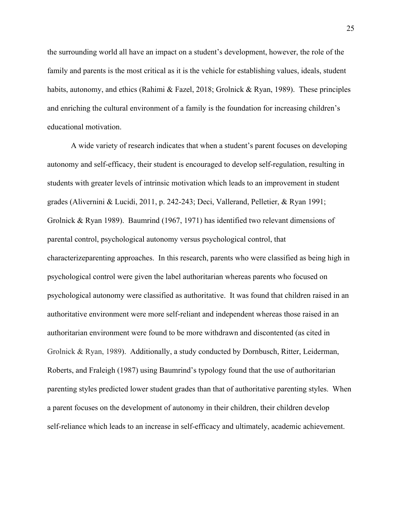the surrounding world all have an impact on a student's development, however, the role of the family and parents is the most critical as it is the vehicle for establishing values, ideals, student habits, autonomy, and ethics (Rahimi & Fazel, 2018; Grolnick & Ryan, 1989). These principles and enriching the cultural environment of a family is the foundation for increasing children's educational motivation.

A wide variety of research indicates that when a student's parent focuses on developing autonomy and self-efficacy, their student is encouraged to develop self-regulation, resulting in students with greater levels of intrinsic motivation which leads to an improvement in student grades (Alivernini & Lucidi, 2011, p. 242-243; Deci, Vallerand, Pelletier, & Ryan 1991; Grolnick & Ryan 1989). Baumrind (1967, 1971) has identified two relevant dimensions of parental control, psychological autonomy versus psychological control, that characterizeparenting approaches. In this research, parents who were classified as being high in psychological control were given the label authoritarian whereas parents who focused on psychological autonomy were classified as authoritative. It was found that children raised in an authoritative environment were more self-reliant and independent whereas those raised in an authoritarian environment were found to be more withdrawn and discontented (as cited in Grolnick & Ryan, 1989). Additionally, a study conducted by Dornbusch, Ritter, Leiderman, Roberts, and Fraleigh (1987) using Baumrind's typology found that the use of authoritarian parenting styles predicted lower student grades than that of authoritative parenting styles. When a parent focuses on the development of autonomy in their children, their children develop self-reliance which leads to an increase in self-efficacy and ultimately, academic achievement.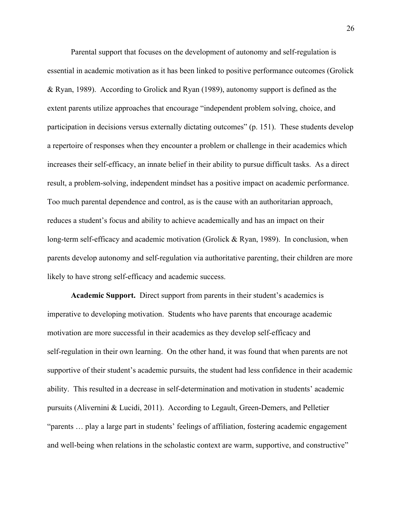Parental support that focuses on the development of autonomy and self-regulation is essential in academic motivation as it has been linked to positive performance outcomes (Grolick & Ryan, 1989). According to Grolick and Ryan (1989), autonomy support is defined as the extent parents utilize approaches that encourage "independent problem solving, choice, and participation in decisions versus externally dictating outcomes" (p. 151). These students develop a repertoire of responses when they encounter a problem or challenge in their academics which increases their self-efficacy, an innate belief in their ability to pursue difficult tasks. As a direct result, a problem-solving, independent mindset has a positive impact on academic performance. Too much parental dependence and control, as is the cause with an authoritarian approach, reduces a student's focus and ability to achieve academically and has an impact on their long-term self-efficacy and academic motivation (Grolick & Ryan, 1989). In conclusion, when parents develop autonomy and self-regulation via authoritative parenting, their children are more likely to have strong self-efficacy and academic success.

**Academic Support.** Direct support from parents in their student's academics is imperative to developing motivation. Students who have parents that encourage academic motivation are more successful in their academics as they develop self-efficacy and self-regulation in their own learning. On the other hand, it was found that when parents are not supportive of their student's academic pursuits, the student had less confidence in their academic ability. This resulted in a decrease in self-determination and motivation in students' academic pursuits (Alivernini & Lucidi, 2011). According to Legault, Green-Demers, and Pelletier "parents … play a large part in students' feelings of affiliation, fostering academic engagement and well-being when relations in the scholastic context are warm, supportive, and constructive"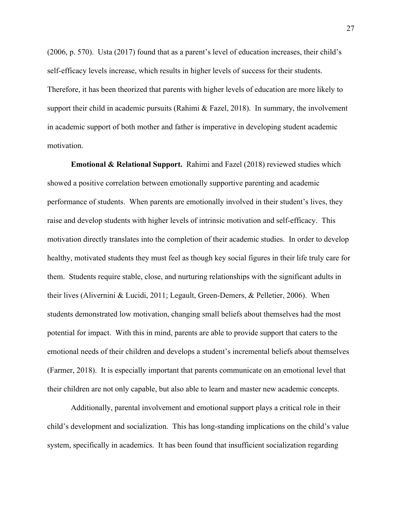(2006, p. 570). Usta (2017) found that as a parent's level of education increases, their child's self-efficacy levels increase, which results in higher levels of success for their students. Therefore, it has been theorized that parents with higher levels of education are more likely to support their child in academic pursuits (Rahimi & Fazel, 2018). In summary, the involvement in academic support of both mother and father is imperative in developing student academic motivation.

**Emotional & Relational Support.** Rahimi and Fazel (2018) reviewed studies which showed a positive correlation between emotionally supportive parenting and academic performance of students. When parents are emotionally involved in their student's lives, they raise and develop students with higher levels of intrinsic motivation and self-efficacy. This motivation directly translates into the completion of their academic studies. In order to develop healthy, motivated students they must feel as though key social figures in their life truly care for them. Students require stable, close, and nurturing relationships with the significant adults in their lives (Alivernini & Lucidi, 2011; Legault, Green-Demers, & Pelletier, 2006). When students demonstrated low motivation, changing small beliefs about themselves had the most potential for impact. With this in mind, parents are able to provide support that caters to the emotional needs of their children and develops a student's incremental beliefs about themselves (Farmer, 2018). It is especially important that parents communicate on an emotional level that their children are not only capable, but also able to learn and master new academic concepts.

Additionally, parental involvement and emotional support plays a critical role in their child's development and socialization. This has long-standing implications on the child's value system, specifically in academics. It has been found that insufficient socialization regarding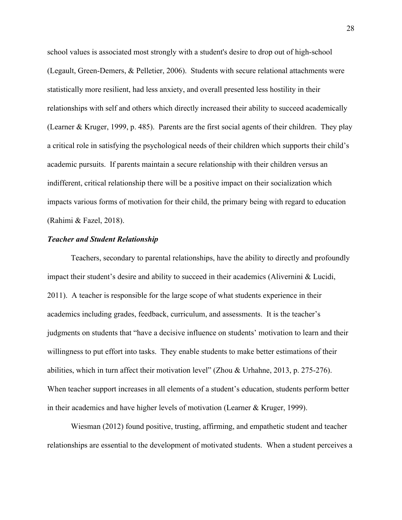school values is associated most strongly with a student's desire to drop out of high-school (Legault, Green-Demers, & Pelletier, 2006). Students with secure relational attachments were statistically more resilient, had less anxiety, and overall presented less hostility in their relationships with self and others which directly increased their ability to succeed academically (Learner & Kruger, 1999, p. 485). Parents are the first social agents of their children. They play a critical role in satisfying the psychological needs of their children which supports their child's academic pursuits. If parents maintain a secure relationship with their children versus an indifferent, critical relationship there will be a positive impact on their socialization which impacts various forms of motivation for their child, the primary being with regard to education (Rahimi & Fazel, 2018).

# <span id="page-28-0"></span>*Teacher and Student Relationship*

Teachers, secondary to parental relationships, have the ability to directly and profoundly impact their student's desire and ability to succeed in their academics (Alivernini & Lucidi, 2011). A teacher is responsible for the large scope of what students experience in their academics including grades, feedback, curriculum, and assessments. It is the teacher's judgments on students that "have a decisive influence on students' motivation to learn and their willingness to put effort into tasks. They enable students to make better estimations of their abilities, which in turn affect their motivation level" (Zhou & Urhahne, 2013, p. 275-276). When teacher support increases in all elements of a student's education, students perform better in their academics and have higher levels of motivation (Learner & Kruger, 1999).

Wiesman (2012) found positive, trusting, affirming, and empathetic student and teacher relationships are essential to the development of motivated students. When a student perceives a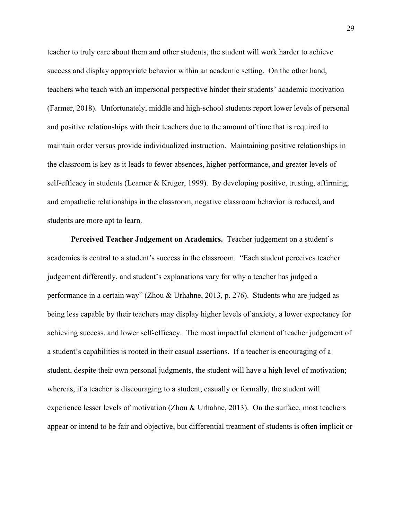teacher to truly care about them and other students, the student will work harder to achieve success and display appropriate behavior within an academic setting. On the other hand, teachers who teach with an impersonal perspective hinder their students' academic motivation (Farmer, 2018). Unfortunately, middle and high-school students report lower levels of personal and positive relationships with their teachers due to the amount of time that is required to maintain order versus provide individualized instruction. Maintaining positive relationships in the classroom is key as it leads to fewer absences, higher performance, and greater levels of self-efficacy in students (Learner & Kruger, 1999). By developing positive, trusting, affirming, and empathetic relationships in the classroom, negative classroom behavior is reduced, and students are more apt to learn.

**Perceived Teacher Judgement on Academics.** Teacher judgement on a student's academics is central to a student's success in the classroom. "Each student perceives teacher judgement differently, and student's explanations vary for why a teacher has judged a performance in a certain way" (Zhou & Urhahne, 2013, p. 276). Students who are judged as being less capable by their teachers may display higher levels of anxiety, a lower expectancy for achieving success, and lower self-efficacy. The most impactful element of teacher judgement of a student's capabilities is rooted in their casual assertions. If a teacher is encouraging of a student, despite their own personal judgments, the student will have a high level of motivation; whereas, if a teacher is discouraging to a student, casually or formally, the student will experience lesser levels of motivation (Zhou & Urhahne, 2013). On the surface, most teachers appear or intend to be fair and objective, but differential treatment of students is often implicit or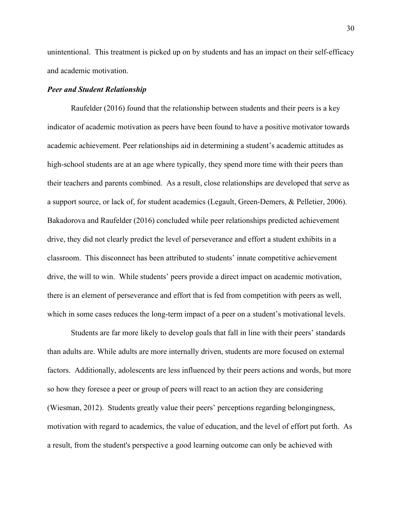unintentional. This treatment is picked up on by students and has an impact on their self-efficacy and academic motivation.

#### <span id="page-30-0"></span>*Peer and Student Relationship*

Raufelder (2016) found that the relationship between students and their peers is a key indicator of academic motivation as peers have been found to have a positive motivator towards academic achievement. Peer relationships aid in determining a student's academic attitudes as high-school students are at an age where typically, they spend more time with their peers than their teachers and parents combined. As a result, close relationships are developed that serve as a support source, or lack of, for student academics (Legault, Green-Demers, & Pelletier, 2006). Bakadorova and Raufelder (2016) concluded while peer relationships predicted achievement drive, they did not clearly predict the level of perseverance and effort a student exhibits in a classroom. This disconnect has been attributed to students' innate competitive achievement drive, the will to win. While students' peers provide a direct impact on academic motivation, there is an element of perseverance and effort that is fed from competition with peers as well, which in some cases reduces the long-term impact of a peer on a student's motivational levels.

Students are far more likely to develop goals that fall in line with their peers' standards than adults are. While adults are more internally driven, students are more focused on external factors. Additionally, adolescents are less influenced by their peers actions and words, but more so how they foresee a peer or group of peers will react to an action they are considering (Wiesman, 2012). Students greatly value their peers' perceptions regarding belongingness, motivation with regard to academics, the value of education, and the level of effort put forth. As a result, from the student's perspective a good learning outcome can only be achieved with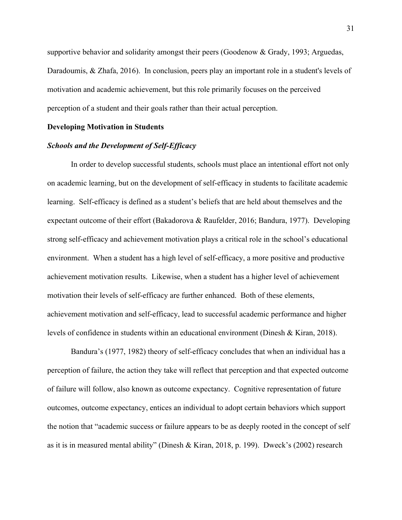supportive behavior and solidarity amongst their peers (Goodenow & Grady, 1993; Arguedas, Daradoumis, & Zhafa, 2016). In conclusion, peers play an important role in a student's levels of motivation and academic achievement, but this role primarily focuses on the perceived perception of a student and their goals rather than their actual perception.

#### <span id="page-31-0"></span>**Developing Motivation in Students**

#### <span id="page-31-1"></span>*Schools and the Development of Self-Efficacy*

In order to develop successful students, schools must place an intentional effort not only on academic learning, but on the development of self-efficacy in students to facilitate academic learning. Self-efficacy is defined as a student's beliefs that are held about themselves and the expectant outcome of their effort (Bakadorova & Raufelder, 2016; Bandura, 1977). Developing strong self-efficacy and achievement motivation plays a critical role in the school's educational environment. When a student has a high level of self-efficacy, a more positive and productive achievement motivation results. Likewise, when a student has a higher level of achievement motivation their levels of self-efficacy are further enhanced. Both of these elements, achievement motivation and self-efficacy, lead to successful academic performance and higher levels of confidence in students within an educational environment (Dinesh & Kiran, 2018).

Bandura's (1977, 1982) theory of self-efficacy concludes that when an individual has a perception of failure, the action they take will reflect that perception and that expected outcome of failure will follow, also known as outcome expectancy. Cognitive representation of future outcomes, outcome expectancy, entices an individual to adopt certain behaviors which support the notion that "academic success or failure appears to be as deeply rooted in the concept of self as it is in measured mental ability" (Dinesh & Kiran, 2018, p. 199). Dweck's (2002) research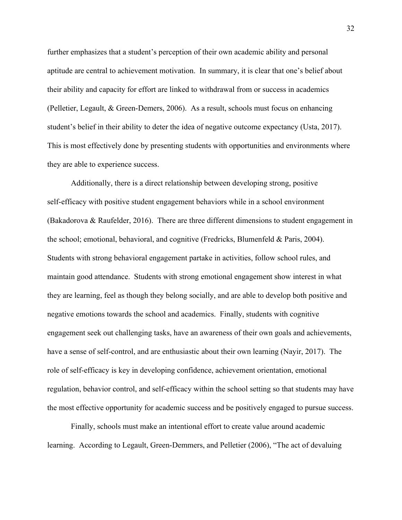further emphasizes that a student's perception of their own academic ability and personal aptitude are central to achievement motivation. In summary, it is clear that one's belief about their ability and capacity for effort are linked to withdrawal from or success in academics (Pelletier, Legault, & Green-Demers, 2006). As a result, schools must focus on enhancing student's belief in their ability to deter the idea of negative outcome expectancy (Usta, 2017). This is most effectively done by presenting students with opportunities and environments where they are able to experience success.

Additionally, there is a direct relationship between developing strong, positive self-efficacy with positive student engagement behaviors while in a school environment (Bakadorova & Raufelder, 2016). There are three different dimensions to student engagement in the school; emotional, behavioral, and cognitive (Fredricks, Blumenfeld & Paris, 2004). Students with strong behavioral engagement partake in activities, follow school rules, and maintain good attendance. Students with strong emotional engagement show interest in what they are learning, feel as though they belong socially, and are able to develop both positive and negative emotions towards the school and academics. Finally, students with cognitive engagement seek out challenging tasks, have an awareness of their own goals and achievements, have a sense of self-control, and are enthusiastic about their own learning (Nayir, 2017). The role of self-efficacy is key in developing confidence, achievement orientation, emotional regulation, behavior control, and self-efficacy within the school setting so that students may have the most effective opportunity for academic success and be positively engaged to pursue success.

Finally, schools must make an intentional effort to create value around academic learning. According to Legault, Green-Demmers, and Pelletier (2006), "The act of devaluing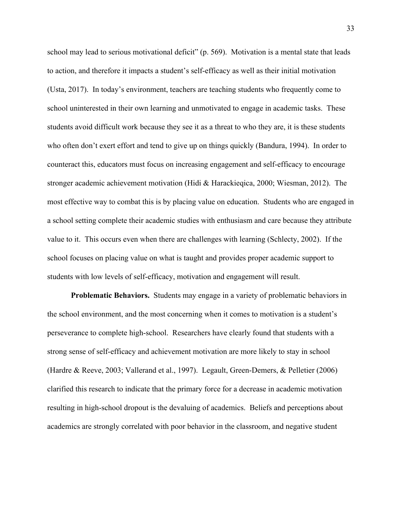school may lead to serious motivational deficit" (p. 569). Motivation is a mental state that leads to action, and therefore it impacts a student's self-efficacy as well as their initial motivation (Usta, 2017). In today's environment, teachers are teaching students who frequently come to school uninterested in their own learning and unmotivated to engage in academic tasks. These students avoid difficult work because they see it as a threat to who they are, it is these students who often don't exert effort and tend to give up on things quickly (Bandura, 1994). In order to counteract this, educators must focus on increasing engagement and self-efficacy to encourage stronger academic achievement motivation (Hidi & Harackieqica, 2000; Wiesman, 2012). The most effective way to combat this is by placing value on education. Students who are engaged in a school setting complete their academic studies with enthusiasm and care because they attribute value to it. This occurs even when there are challenges with learning (Schlecty, 2002). If the school focuses on placing value on what is taught and provides proper academic support to students with low levels of self-efficacy, motivation and engagement will result.

**Problematic Behaviors.** Students may engage in a variety of problematic behaviors in the school environment, and the most concerning when it comes to motivation is a student's perseverance to complete high-school. Researchers have clearly found that students with a strong sense of self-efficacy and achievement motivation are more likely to stay in school (Hardre & Reeve, 2003; Vallerand et al., 1997). Legault, Green-Demers, & Pelletier (2006) clarified this research to indicate that the primary force for a decrease in academic motivation resulting in high-school dropout is the devaluing of academics. Beliefs and perceptions about academics are strongly correlated with poor behavior in the classroom, and negative student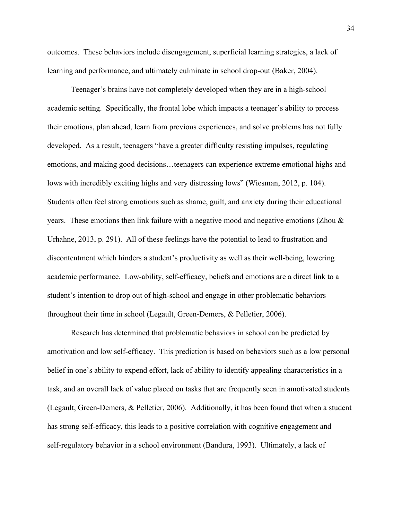outcomes. These behaviors include disengagement, superficial learning strategies, a lack of learning and performance, and ultimately culminate in school drop-out (Baker, 2004).

Teenager's brains have not completely developed when they are in a high-school academic setting. Specifically, the frontal lobe which impacts a teenager's ability to process their emotions, plan ahead, learn from previous experiences, and solve problems has not fully developed. As a result, teenagers "have a greater difficulty resisting impulses, regulating emotions, and making good decisions…teenagers can experience extreme emotional highs and lows with incredibly exciting highs and very distressing lows" (Wiesman, 2012, p. 104). Students often feel strong emotions such as shame, guilt, and anxiety during their educational years. These emotions then link failure with a negative mood and negative emotions (Zhou & Urhahne, 2013, p. 291). All of these feelings have the potential to lead to frustration and discontentment which hinders a student's productivity as well as their well-being, lowering academic performance. Low-ability, self-efficacy, beliefs and emotions are a direct link to a student's intention to drop out of high-school and engage in other problematic behaviors throughout their time in school (Legault, Green-Demers, & Pelletier, 2006).

Research has determined that problematic behaviors in school can be predicted by amotivation and low self-efficacy. This prediction is based on behaviors such as a low personal belief in one's ability to expend effort, lack of ability to identify appealing characteristics in a task, and an overall lack of value placed on tasks that are frequently seen in amotivated students (Legault, Green-Demers, & Pelletier, 2006). Additionally, it has been found that when a student has strong self-efficacy, this leads to a positive correlation with cognitive engagement and self-regulatory behavior in a school environment (Bandura, 1993). Ultimately, a lack of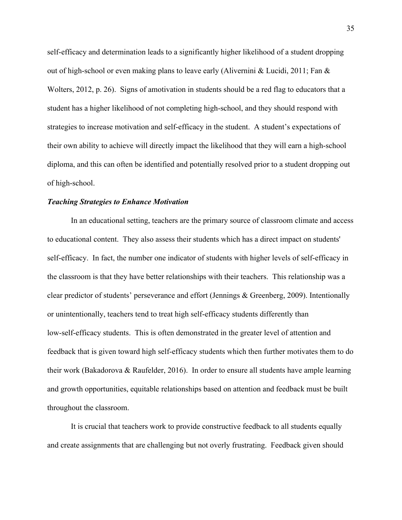self-efficacy and determination leads to a significantly higher likelihood of a student dropping out of high-school or even making plans to leave early (Alivernini & Lucidi, 2011; Fan  $\&$ Wolters, 2012, p. 26). Signs of amotivation in students should be a red flag to educators that a student has a higher likelihood of not completing high-school, and they should respond with strategies to increase motivation and self-efficacy in the student. A student's expectations of their own ability to achieve will directly impact the likelihood that they will earn a high-school diploma, and this can often be identified and potentially resolved prior to a student dropping out of high-school.

#### <span id="page-35-0"></span>*Teaching Strategies to Enhance Motivation*

In an educational setting, teachers are the primary source of classroom climate and access to educational content. They also assess their students which has a direct impact on students' self-efficacy. In fact, the number one indicator of students with higher levels of self-efficacy in the classroom is that they have better relationships with their teachers. This relationship was a clear predictor of students' perseverance and effort (Jennings & Greenberg, 2009). Intentionally or unintentionally, teachers tend to treat high self-efficacy students differently than low-self-efficacy students. This is often demonstrated in the greater level of attention and feedback that is given toward high self-efficacy students which then further motivates them to do their work (Bakadorova & Raufelder, 2016). In order to ensure all students have ample learning and growth opportunities, equitable relationships based on attention and feedback must be built throughout the classroom.

It is crucial that teachers work to provide constructive feedback to all students equally and create assignments that are challenging but not overly frustrating. Feedback given should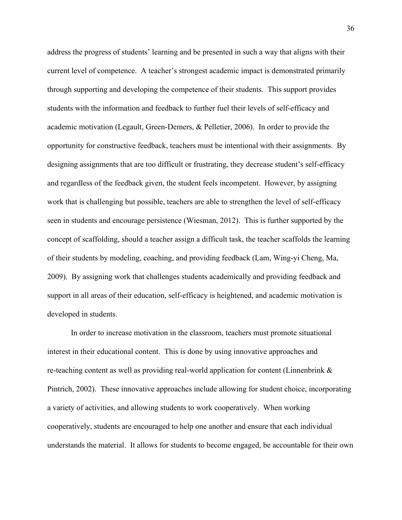address the progress of students' learning and be presented in such a way that aligns with their current level of competence. A teacher's strongest academic impact is demonstrated primarily through supporting and developing the competence of their students. This support provides students with the information and feedback to further fuel their levels of self-efficacy and academic motivation (Legault, Green-Demers, & Pelletier, 2006). In order to provide the opportunity for constructive feedback, teachers must be intentional with their assignments. By designing assignments that are too difficult or frustrating, they decrease student's self-efficacy and regardless of the feedback given, the student feels incompetent. However, by assigning work that is challenging but possible, teachers are able to strengthen the level of self-efficacy seen in students and encourage persistence (Wiesman, 2012). This is further supported by the concept of scaffolding, should a teacher assign a difficult task, the teacher scaffolds the learning of their students by modeling, coaching, and providing feedback (Lam, Wing-yi Cheng, Ma, 2009). By assigning work that challenges students academically and providing feedback and support in all areas of their education, self-efficacy is heightened, and academic motivation is developed in students.

In order to increase motivation in the classroom, teachers must promote situational interest in their educational content. This is done by using innovative approaches and re-teaching content as well as providing real-world application for content (Linnenbrink & Pintrich, 2002). These innovative approaches include allowing for student choice, incorporating a variety of activities, and allowing students to work cooperatively. When working cooperatively, students are encouraged to help one another and ensure that each individual understands the material. It allows for students to become engaged, be accountable for their own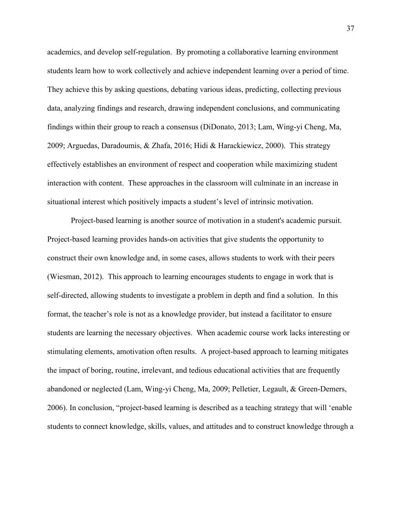academics, and develop self-regulation. By promoting a collaborative learning environment students learn how to work collectively and achieve independent learning over a period of time. They achieve this by asking questions, debating various ideas, predicting, collecting previous data, analyzing findings and research, drawing independent conclusions, and communicating findings within their group to reach a consensus (DiDonato, 2013; Lam, Wing-yi Cheng, Ma, 2009; Arguedas, Daradoumis, & Zhafa, 2016; Hidi & Harackiewicz, 2000). This strategy effectively establishes an environment of respect and cooperation while maximizing student interaction with content. These approaches in the classroom will culminate in an increase in situational interest which positively impacts a student's level of intrinsic motivation.

Project-based learning is another source of motivation in a student's academic pursuit. Project-based learning provides hands-on activities that give students the opportunity to construct their own knowledge and, in some cases, allows students to work with their peers (Wiesman, 2012). This approach to learning encourages students to engage in work that is self-directed, allowing students to investigate a problem in depth and find a solution. In this format, the teacher's role is not as a knowledge provider, but instead a facilitator to ensure students are learning the necessary objectives. When academic course work lacks interesting or stimulating elements, amotivation often results. A project-based approach to learning mitigates the impact of boring, routine, irrelevant, and tedious educational activities that are frequently abandoned or neglected (Lam, Wing-yi Cheng, Ma, 2009; Pelletier, Legault, & Green-Demers, 2006). In conclusion, "project-based learning is described as a teaching strategy that will 'enable students to connect knowledge, skills, values, and attitudes and to construct knowledge through a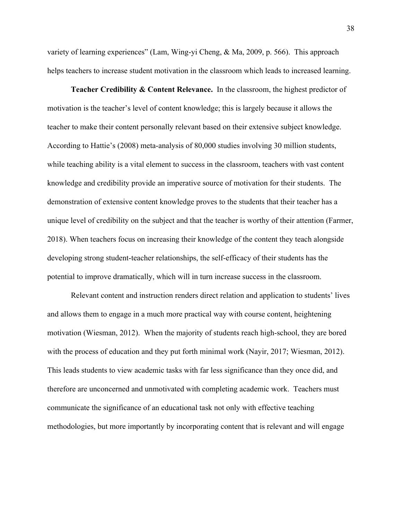variety of learning experiences" (Lam, Wing-yi Cheng, & Ma, 2009, p. 566). This approach helps teachers to increase student motivation in the classroom which leads to increased learning.

**Teacher Credibility & Content Relevance.** In the classroom, the highest predictor of motivation is the teacher's level of content knowledge; this is largely because it allows the teacher to make their content personally relevant based on their extensive subject knowledge. According to Hattie's (2008) meta-analysis of 80,000 studies involving 30 million students, while teaching ability is a vital element to success in the classroom, teachers with vast content knowledge and credibility provide an imperative source of motivation for their students. The demonstration of extensive content knowledge proves to the students that their teacher has a unique level of credibility on the subject and that the teacher is worthy of their attention (Farmer, 2018). When teachers focus on increasing their knowledge of the content they teach alongside developing strong student-teacher relationships, the self-efficacy of their students has the potential to improve dramatically, which will in turn increase success in the classroom.

Relevant content and instruction renders direct relation and application to students' lives and allows them to engage in a much more practical way with course content, heightening motivation (Wiesman, 2012). When the majority of students reach high-school, they are bored with the process of education and they put forth minimal work (Nayir, 2017; Wiesman, 2012). This leads students to view academic tasks with far less significance than they once did, and therefore are unconcerned and unmotivated with completing academic work. Teachers must communicate the significance of an educational task not only with effective teaching methodologies, but more importantly by incorporating content that is relevant and will engage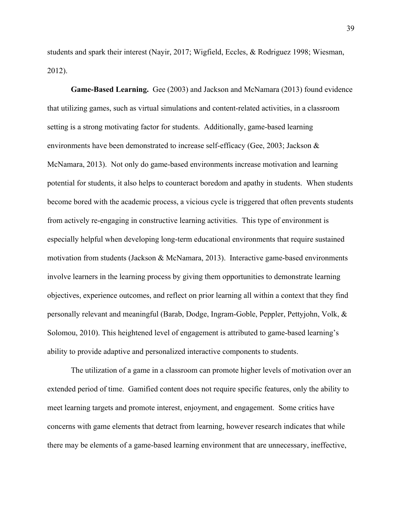students and spark their interest (Nayir, 2017; Wigfield, Eccles, & Rodriguez 1998; Wiesman, 2012).

**Game-Based Learning.** Gee (2003) and Jackson and McNamara (2013) found evidence that utilizing games, such as virtual simulations and content-related activities, in a classroom setting is a strong motivating factor for students. Additionally, game-based learning environments have been demonstrated to increase self-efficacy (Gee, 2003; Jackson & McNamara, 2013). Not only do game-based environments increase motivation and learning potential for students, it also helps to counteract boredom and apathy in students. When students become bored with the academic process, a vicious cycle is triggered that often prevents students from actively re-engaging in constructive learning activities. This type of environment is especially helpful when developing long-term educational environments that require sustained motivation from students (Jackson & McNamara, 2013). Interactive game-based environments involve learners in the learning process by giving them opportunities to demonstrate learning objectives, experience outcomes, and reflect on prior learning all within a context that they find personally relevant and meaningful (Barab, Dodge, Ingram-Goble, Peppler, Pettyjohn, Volk, & Solomou, 2010). This heightened level of engagement is attributed to game-based learning's ability to provide adaptive and personalized interactive components to students.

The utilization of a game in a classroom can promote higher levels of motivation over an extended period of time. Gamified content does not require specific features, only the ability to meet learning targets and promote interest, enjoyment, and engagement. Some critics have concerns with game elements that detract from learning, however research indicates that while there may be elements of a game-based learning environment that are unnecessary, ineffective,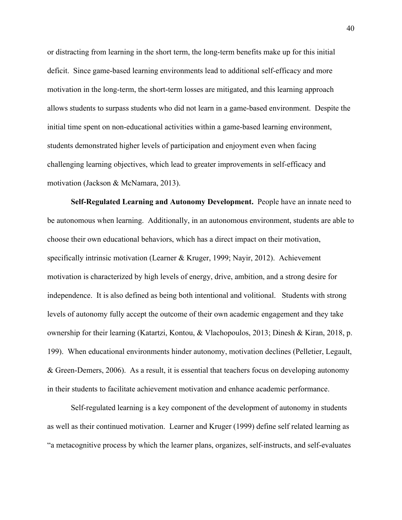or distracting from learning in the short term, the long-term benefits make up for this initial deficit. Since game-based learning environments lead to additional self-efficacy and more motivation in the long-term, the short-term losses are mitigated, and this learning approach allows students to surpass students who did not learn in a game-based environment. Despite the initial time spent on non-educational activities within a game-based learning environment, students demonstrated higher levels of participation and enjoyment even when facing challenging learning objectives, which lead to greater improvements in self-efficacy and motivation (Jackson & McNamara, 2013).

**Self-Regulated Learning and Autonomy Development.** People have an innate need to be autonomous when learning. Additionally, in an autonomous environment, students are able to choose their own educational behaviors, which has a direct impact on their motivation, specifically intrinsic motivation (Learner & Kruger, 1999; Nayir, 2012). Achievement motivation is characterized by high levels of energy, drive, ambition, and a strong desire for independence. It is also defined as being both intentional and volitional. Students with strong levels of autonomy fully accept the outcome of their own academic engagement and they take ownership for their learning (Katartzi, Kontou, & Vlachopoulos, 2013; Dinesh & Kiran, 2018, p. 199). When educational environments hinder autonomy, motivation declines (Pelletier, Legault, & Green-Demers, 2006). As a result, it is essential that teachers focus on developing autonomy in their students to facilitate achievement motivation and enhance academic performance.

Self-regulated learning is a key component of the development of autonomy in students as well as their continued motivation. Learner and Kruger (1999) define self related learning as "a metacognitive process by which the learner plans, organizes, self-instructs, and self-evaluates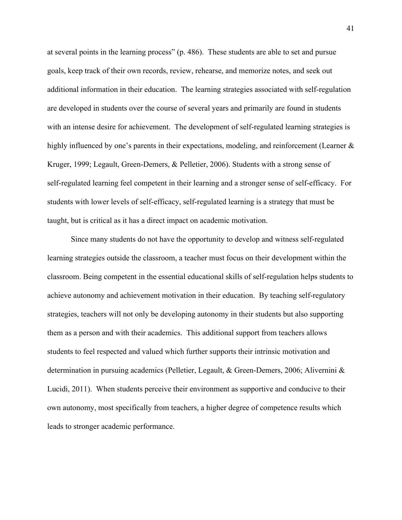at several points in the learning process" (p. 486). These students are able to set and pursue goals, keep track of their own records, review, rehearse, and memorize notes, and seek out additional information in their education. The learning strategies associated with self-regulation are developed in students over the course of several years and primarily are found in students with an intense desire for achievement. The development of self-regulated learning strategies is highly influenced by one's parents in their expectations, modeling, and reinforcement (Learner  $\&$ Kruger, 1999; Legault, Green-Demers, & Pelletier, 2006). Students with a strong sense of self-regulated learning feel competent in their learning and a stronger sense of self-efficacy. For students with lower levels of self-efficacy, self-regulated learning is a strategy that must be taught, but is critical as it has a direct impact on academic motivation.

Since many students do not have the opportunity to develop and witness self-regulated learning strategies outside the classroom, a teacher must focus on their development within the classroom. Being competent in the essential educational skills of self-regulation helps students to achieve autonomy and achievement motivation in their education. By teaching self-regulatory strategies, teachers will not only be developing autonomy in their students but also supporting them as a person and with their academics. This additional support from teachers allows students to feel respected and valued which further supports their intrinsic motivation and determination in pursuing academics (Pelletier, Legault, & Green-Demers, 2006; Alivernini & Lucidi, 2011). When students perceive their environment as supportive and conducive to their own autonomy, most specifically from teachers, a higher degree of competence results which leads to stronger academic performance.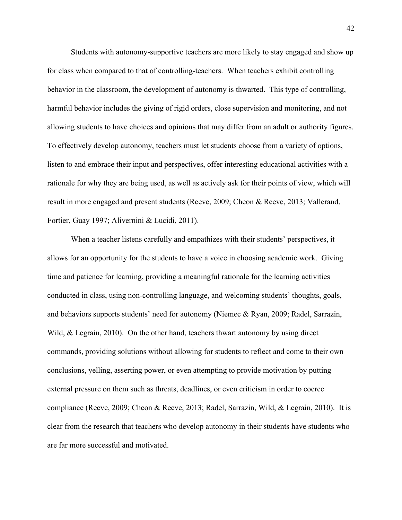Students with autonomy-supportive teachers are more likely to stay engaged and show up for class when compared to that of controlling-teachers. When teachers exhibit controlling behavior in the classroom, the development of autonomy is thwarted. This type of controlling, harmful behavior includes the giving of rigid orders, close supervision and monitoring, and not allowing students to have choices and opinions that may differ from an adult or authority figures. To effectively develop autonomy, teachers must let students choose from a variety of options, listen to and embrace their input and perspectives, offer interesting educational activities with a rationale for why they are being used, as well as actively ask for their points of view, which will result in more engaged and present students (Reeve, 2009; Cheon & Reeve, 2013; Vallerand, Fortier, Guay 1997; Alivernini & Lucidi, 2011).

When a teacher listens carefully and empathizes with their students' perspectives, it allows for an opportunity for the students to have a voice in choosing academic work. Giving time and patience for learning, providing a meaningful rationale for the learning activities conducted in class, using non-controlling language, and welcoming students' thoughts, goals, and behaviors supports students' need for autonomy (Niemec & Ryan, 2009; Radel, Sarrazin, Wild, & Legrain, 2010). On the other hand, teachers thwart autonomy by using direct commands, providing solutions without allowing for students to reflect and come to their own conclusions, yelling, asserting power, or even attempting to provide motivation by putting external pressure on them such as threats, deadlines, or even criticism in order to coerce compliance (Reeve, 2009; Cheon & Reeve, 2013; Radel, Sarrazin, Wild, & Legrain, 2010). It is clear from the research that teachers who develop autonomy in their students have students who are far more successful and motivated.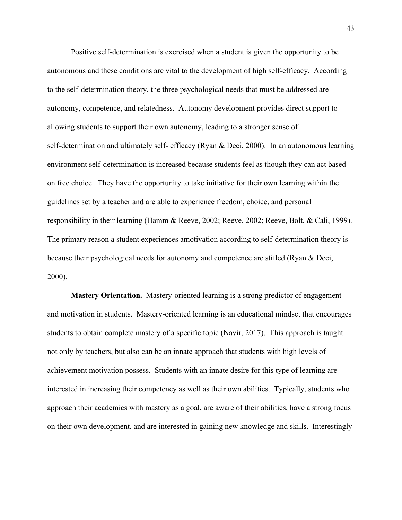Positive self-determination is exercised when a student is given the opportunity to be autonomous and these conditions are vital to the development of high self-efficacy. According to the self-determination theory, the three psychological needs that must be addressed are autonomy, competence, and relatedness. Autonomy development provides direct support to allowing students to support their own autonomy, leading to a stronger sense of self-determination and ultimately self- efficacy (Ryan & Deci, 2000). In an autonomous learning environment self-determination is increased because students feel as though they can act based on free choice. They have the opportunity to take initiative for their own learning within the guidelines set by a teacher and are able to experience freedom, choice, and personal responsibility in their learning (Hamm & Reeve, 2002; Reeve, 2002; Reeve, Bolt, & Cali, 1999). The primary reason a student experiences amotivation according to self-determination theory is because their psychological needs for autonomy and competence are stifled (Ryan & Deci, 2000).

**Mastery Orientation.** Mastery-oriented learning is a strong predictor of engagement and motivation in students. Mastery-oriented learning is an educational mindset that encourages students to obtain complete mastery of a specific topic (Navir, 2017). This approach is taught not only by teachers, but also can be an innate approach that students with high levels of achievement motivation possess. Students with an innate desire for this type of learning are interested in increasing their competency as well as their own abilities. Typically, students who approach their academics with mastery as a goal, are aware of their abilities, have a strong focus on their own development, and are interested in gaining new knowledge and skills. Interestingly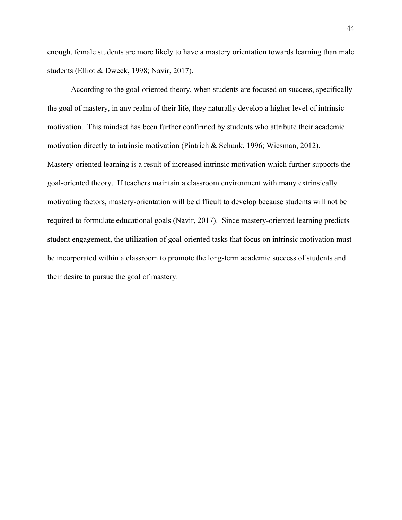enough, female students are more likely to have a mastery orientation towards learning than male students (Elliot & Dweck, 1998; Navir, 2017).

<span id="page-44-0"></span>According to the goal-oriented theory, when students are focused on success, specifically the goal of mastery, in any realm of their life, they naturally develop a higher level of intrinsic motivation. This mindset has been further confirmed by students who attribute their academic motivation directly to intrinsic motivation (Pintrich & Schunk, 1996; Wiesman, 2012). Mastery-oriented learning is a result of increased intrinsic motivation which further supports the goal-oriented theory. If teachers maintain a classroom environment with many extrinsically motivating factors, mastery-orientation will be difficult to develop because students will not be required to formulate educational goals (Navir, 2017). Since mastery-oriented learning predicts student engagement, the utilization of goal-oriented tasks that focus on intrinsic motivation must be incorporated within a classroom to promote the long-term academic success of students and their desire to pursue the goal of mastery.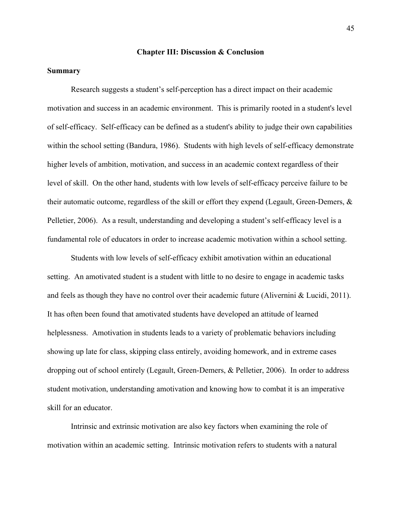#### **Chapter III: Discussion & Conclusion**

# <span id="page-45-0"></span>**Summary**

Research suggests a student's self-perception has a direct impact on their academic motivation and success in an academic environment. This is primarily rooted in a student's level of self-efficacy. Self-efficacy can be defined as a student's ability to judge their own capabilities within the school setting (Bandura, 1986). Students with high levels of self-efficacy demonstrate higher levels of ambition, motivation, and success in an academic context regardless of their level of skill. On the other hand, students with low levels of self-efficacy perceive failure to be their automatic outcome, regardless of the skill or effort they expend (Legault, Green-Demers, & Pelletier, 2006). As a result, understanding and developing a student's self-efficacy level is a fundamental role of educators in order to increase academic motivation within a school setting.

Students with low levels of self-efficacy exhibit amotivation within an educational setting. An amotivated student is a student with little to no desire to engage in academic tasks and feels as though they have no control over their academic future (Alivernini & Lucidi, 2011). It has often been found that amotivated students have developed an attitude of learned helplessness. Amotivation in students leads to a variety of problematic behaviors including showing up late for class, skipping class entirely, avoiding homework, and in extreme cases dropping out of school entirely (Legault, Green-Demers, & Pelletier, 2006). In order to address student motivation, understanding amotivation and knowing how to combat it is an imperative skill for an educator.

Intrinsic and extrinsic motivation are also key factors when examining the role of motivation within an academic setting. Intrinsic motivation refers to students with a natural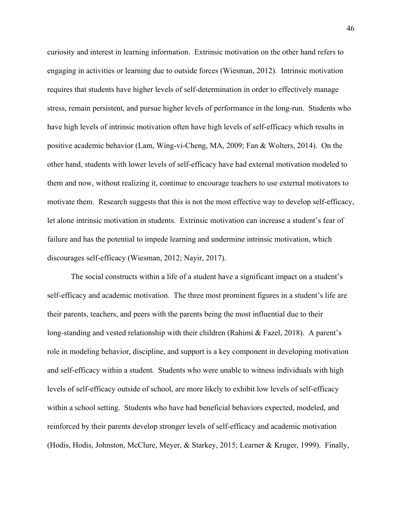curiosity and interest in learning information. Extrinsic motivation on the other hand refers to engaging in activities or learning due to outside forces (Wiesman, 2012). Intrinsic motivation requires that students have higher levels of self-determination in order to effectively manage stress, remain persistent, and pursue higher levels of performance in the long-run. Students who have high levels of intrinsic motivation often have high levels of self-efficacy which results in positive academic behavior (Lam, Wing-vi-Cheng, MA, 2009; Fan & Wolters, 2014). On the other hand, students with lower levels of self-efficacy have had external motivation modeled to them and now, without realizing it, continue to encourage teachers to use external motivators to motivate them. Research suggests that this is not the most effective way to develop self-efficacy, let alone intrinsic motivation in students. Extrinsic motivation can increase a student's fear of failure and has the potential to impede learning and undermine intrinsic motivation, which discourages self-efficacy (Wiesman, 2012; Nayir, 2017).

The social constructs within a life of a student have a significant impact on a student's self-efficacy and academic motivation. The three most prominent figures in a student's life are their parents, teachers, and peers with the parents being the most influential due to their long-standing and vested relationship with their children (Rahimi & Fazel, 2018). A parent's role in modeling behavior, discipline, and support is a key component in developing motivation and self-efficacy within a student. Students who were unable to witness individuals with high levels of self-efficacy outside of school, are more likely to exhibit low levels of self-efficacy within a school setting. Students who have had beneficial behaviors expected, modeled, and reinforced by their parents develop stronger levels of self-efficacy and academic motivation (Hodis, Hodis, Johnston, McClure, Meyer, & Starkey, 2015; Learner & Kruger, 1999). Finally,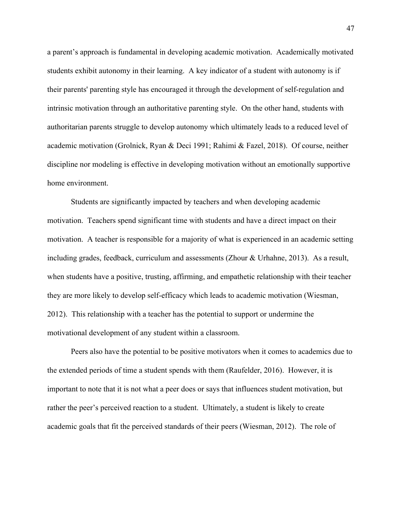a parent's approach is fundamental in developing academic motivation. Academically motivated students exhibit autonomy in their learning. A key indicator of a student with autonomy is if their parents' parenting style has encouraged it through the development of self-regulation and intrinsic motivation through an authoritative parenting style. On the other hand, students with authoritarian parents struggle to develop autonomy which ultimately leads to a reduced level of academic motivation (Grolnick, Ryan & Deci 1991; Rahimi & Fazel, 2018). Of course, neither discipline nor modeling is effective in developing motivation without an emotionally supportive home environment.

Students are significantly impacted by teachers and when developing academic motivation. Teachers spend significant time with students and have a direct impact on their motivation. A teacher is responsible for a majority of what is experienced in an academic setting including grades, feedback, curriculum and assessments (Zhour  $&$  Urhahne, 2013). As a result, when students have a positive, trusting, affirming, and empathetic relationship with their teacher they are more likely to develop self-efficacy which leads to academic motivation (Wiesman, 2012). This relationship with a teacher has the potential to support or undermine the motivational development of any student within a classroom.

Peers also have the potential to be positive motivators when it comes to academics due to the extended periods of time a student spends with them (Raufelder, 2016). However, it is important to note that it is not what a peer does or says that influences student motivation, but rather the peer's perceived reaction to a student. Ultimately, a student is likely to create academic goals that fit the perceived standards of their peers (Wiesman, 2012). The role of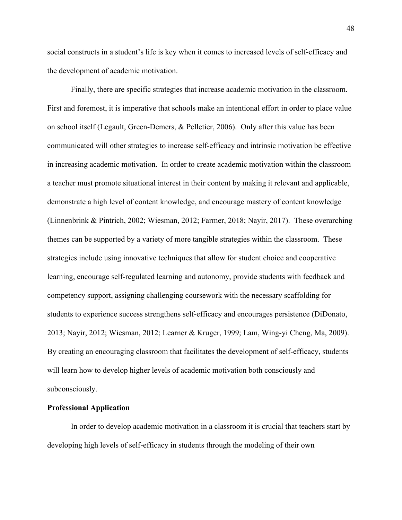social constructs in a student's life is key when it comes to increased levels of self-efficacy and the development of academic motivation.

Finally, there are specific strategies that increase academic motivation in the classroom. First and foremost, it is imperative that schools make an intentional effort in order to place value on school itself (Legault, Green-Demers, & Pelletier, 2006). Only after this value has been communicated will other strategies to increase self-efficacy and intrinsic motivation be effective in increasing academic motivation. In order to create academic motivation within the classroom a teacher must promote situational interest in their content by making it relevant and applicable, demonstrate a high level of content knowledge, and encourage mastery of content knowledge (Linnenbrink & Pintrich, 2002; Wiesman, 2012; Farmer, 2018; Nayir, 2017). These overarching themes can be supported by a variety of more tangible strategies within the classroom. These strategies include using innovative techniques that allow for student choice and cooperative learning, encourage self-regulated learning and autonomy, provide students with feedback and competency support, assigning challenging coursework with the necessary scaffolding for students to experience success strengthens self-efficacy and encourages persistence (DiDonato, 2013; Nayir, 2012; Wiesman, 2012; Learner & Kruger, 1999; Lam, Wing-yi Cheng, Ma, 2009). By creating an encouraging classroom that facilitates the development of self-efficacy, students will learn how to develop higher levels of academic motivation both consciously and subconsciously.

# **Professional Application**

In order to develop academic motivation in a classroom it is crucial that teachers start by developing high levels of self-efficacy in students through the modeling of their own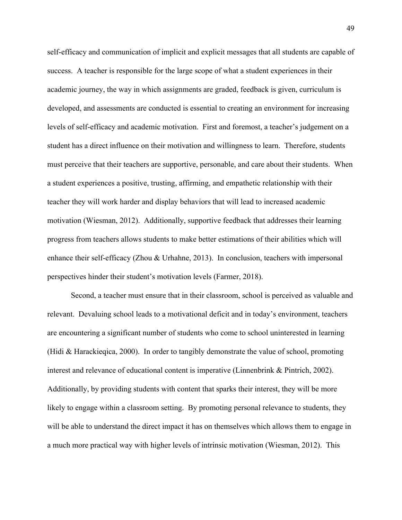self-efficacy and communication of implicit and explicit messages that all students are capable of success. A teacher is responsible for the large scope of what a student experiences in their academic journey, the way in which assignments are graded, feedback is given, curriculum is developed, and assessments are conducted is essential to creating an environment for increasing levels of self-efficacy and academic motivation. First and foremost, a teacher's judgement on a student has a direct influence on their motivation and willingness to learn. Therefore, students must perceive that their teachers are supportive, personable, and care about their students. When a student experiences a positive, trusting, affirming, and empathetic relationship with their teacher they will work harder and display behaviors that will lead to increased academic motivation (Wiesman, 2012). Additionally, supportive feedback that addresses their learning progress from teachers allows students to make better estimations of their abilities which will enhance their self-efficacy (Zhou & Urhahne, 2013). In conclusion, teachers with impersonal perspectives hinder their student's motivation levels (Farmer, 2018).

Second, a teacher must ensure that in their classroom, school is perceived as valuable and relevant. Devaluing school leads to a motivational deficit and in today's environment, teachers are encountering a significant number of students who come to school uninterested in learning (Hidi & Harackieqica, 2000). In order to tangibly demonstrate the value of school, promoting interest and relevance of educational content is imperative (Linnenbrink & Pintrich, 2002). Additionally, by providing students with content that sparks their interest, they will be more likely to engage within a classroom setting. By promoting personal relevance to students, they will be able to understand the direct impact it has on themselves which allows them to engage in a much more practical way with higher levels of intrinsic motivation (Wiesman, 2012). This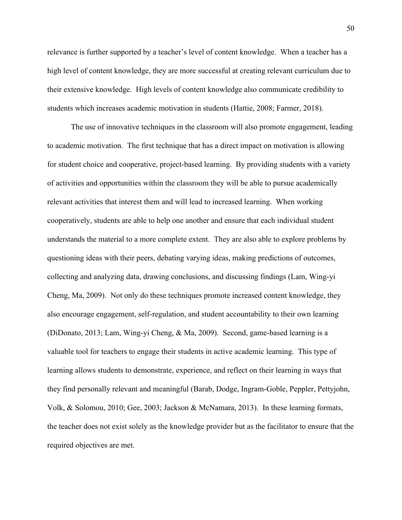relevance is further supported by a teacher's level of content knowledge. When a teacher has a high level of content knowledge, they are more successful at creating relevant curriculum due to their extensive knowledge. High levels of content knowledge also communicate credibility to students which increases academic motivation in students (Hattie, 2008; Farmer, 2018).

The use of innovative techniques in the classroom will also promote engagement, leading to academic motivation. The first technique that has a direct impact on motivation is allowing for student choice and cooperative, project-based learning. By providing students with a variety of activities and opportunities within the classroom they will be able to pursue academically relevant activities that interest them and will lead to increased learning. When working cooperatively, students are able to help one another and ensure that each individual student understands the material to a more complete extent. They are also able to explore problems by questioning ideas with their peers, debating varying ideas, making predictions of outcomes, collecting and analyzing data, drawing conclusions, and discussing findings (Lam, Wing-yi Cheng, Ma, 2009). Not only do these techniques promote increased content knowledge, they also encourage engagement, self-regulation, and student accountability to their own learning (DiDonato, 2013; Lam, Wing-yi Cheng, & Ma, 2009). Second, game-based learning is a valuable tool for teachers to engage their students in active academic learning. This type of learning allows students to demonstrate, experience, and reflect on their learning in ways that they find personally relevant and meaningful (Barab, Dodge, Ingram-Goble, Peppler, Pettyjohn, Volk, & Solomou, 2010; Gee, 2003; Jackson & McNamara, 2013). In these learning formats, the teacher does not exist solely as the knowledge provider but as the facilitator to ensure that the required objectives are met.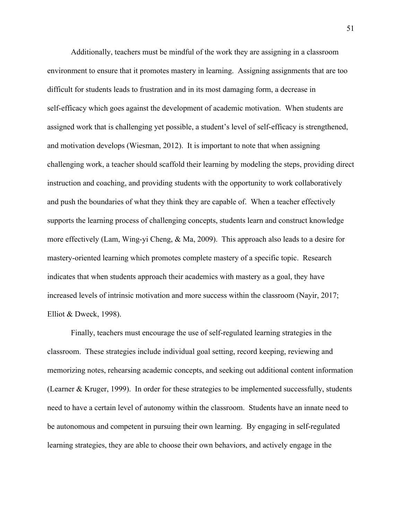Additionally, teachers must be mindful of the work they are assigning in a classroom environment to ensure that it promotes mastery in learning. Assigning assignments that are too difficult for students leads to frustration and in its most damaging form, a decrease in self-efficacy which goes against the development of academic motivation. When students are assigned work that is challenging yet possible, a student's level of self-efficacy is strengthened, and motivation develops (Wiesman, 2012). It is important to note that when assigning challenging work, a teacher should scaffold their learning by modeling the steps, providing direct instruction and coaching, and providing students with the opportunity to work collaboratively and push the boundaries of what they think they are capable of. When a teacher effectively supports the learning process of challenging concepts, students learn and construct knowledge more effectively (Lam, Wing-yi Cheng, & Ma, 2009). This approach also leads to a desire for mastery-oriented learning which promotes complete mastery of a specific topic. Research indicates that when students approach their academics with mastery as a goal, they have increased levels of intrinsic motivation and more success within the classroom (Nayir, 2017; Elliot & Dweck, 1998).

Finally, teachers must encourage the use of self-regulated learning strategies in the classroom. These strategies include individual goal setting, record keeping, reviewing and memorizing notes, rehearsing academic concepts, and seeking out additional content information (Learner & Kruger, 1999). In order for these strategies to be implemented successfully, students need to have a certain level of autonomy within the classroom. Students have an innate need to be autonomous and competent in pursuing their own learning. By engaging in self-regulated learning strategies, they are able to choose their own behaviors, and actively engage in the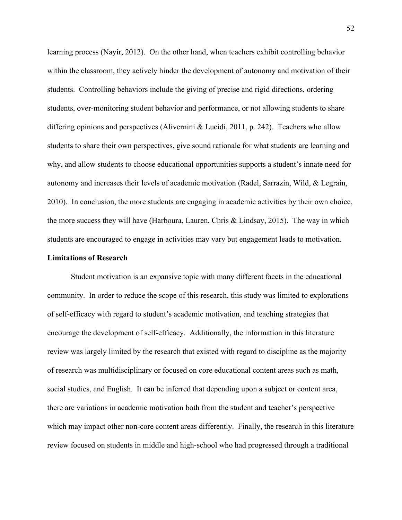learning process (Nayir, 2012). On the other hand, when teachers exhibit controlling behavior within the classroom, they actively hinder the development of autonomy and motivation of their students. Controlling behaviors include the giving of precise and rigid directions, ordering students, over-monitoring student behavior and performance, or not allowing students to share differing opinions and perspectives (Alivernini & Lucidi, 2011, p. 242). Teachers who allow students to share their own perspectives, give sound rationale for what students are learning and why, and allow students to choose educational opportunities supports a student's innate need for autonomy and increases their levels of academic motivation (Radel, Sarrazin, Wild, & Legrain, 2010). In conclusion, the more students are engaging in academic activities by their own choice, the more success they will have (Harboura, Lauren, Chris & Lindsay, 2015). The way in which students are encouraged to engage in activities may vary but engagement leads to motivation.

#### **Limitations of Research**

Student motivation is an expansive topic with many different facets in the educational community. In order to reduce the scope of this research, this study was limited to explorations of self-efficacy with regard to student's academic motivation, and teaching strategies that encourage the development of self-efficacy. Additionally, the information in this literature review was largely limited by the research that existed with regard to discipline as the majority of research was multidisciplinary or focused on core educational content areas such as math, social studies, and English. It can be inferred that depending upon a subject or content area, there are variations in academic motivation both from the student and teacher's perspective which may impact other non-core content areas differently. Finally, the research in this literature review focused on students in middle and high-school who had progressed through a traditional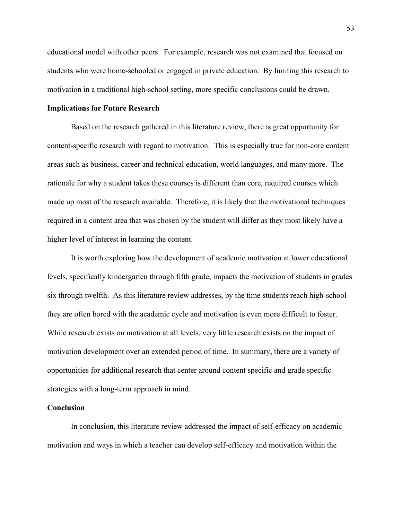educational model with other peers. For example, research was not examined that focused on students who were home-schooled or engaged in private education. By limiting this research to motivation in a traditional high-school setting, more specific conclusions could be drawn.

#### **Implications for Future Research**

Based on the research gathered in this literature review, there is great opportunity for content-specific research with regard to motivation. This is especially true for non-core content areas such as business, career and technical education, world languages, and many more. The rationale for why a student takes these courses is different than core, required courses which made up most of the research available. Therefore, it is likely that the motivational techniques required in a content area that was chosen by the student will differ as they most likely have a higher level of interest in learning the content.

It is worth exploring how the development of academic motivation at lower educational levels, specifically kindergarten through fifth grade, impacts the motivation of students in grades six through twelfth. As this literature review addresses, by the time students reach high-school they are often bored with the academic cycle and motivation is even more difficult to foster. While research exists on motivation at all levels, very little research exists on the impact of motivation development over an extended period of time. In summary, there are a variety of opportunities for additional research that center around content specific and grade specific strategies with a long-term approach in mind.

#### **Conclusion**

In conclusion, this literature review addressed the impact of self-efficacy on academic motivation and ways in which a teacher can develop self-efficacy and motivation within the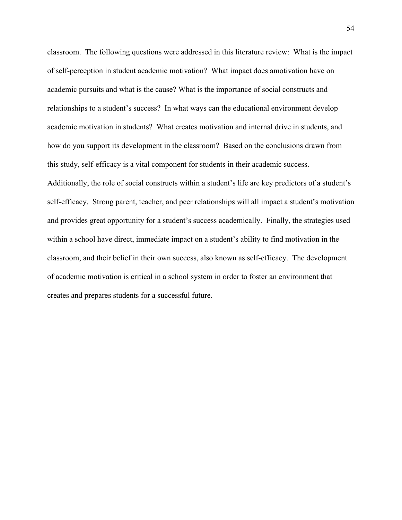classroom. The following questions were addressed in this literature review: What is the impact of self-perception in student academic motivation? What impact does amotivation have on academic pursuits and what is the cause? What is the importance of social constructs and relationships to a student's success? In what ways can the educational environment develop academic motivation in students? What creates motivation and internal drive in students, and how do you support its development in the classroom? Based on the conclusions drawn from this study, self-efficacy is a vital component for students in their academic success. Additionally, the role of social constructs within a student's life are key predictors of a student's self-efficacy. Strong parent, teacher, and peer relationships will all impact a student's motivation and provides great opportunity for a student's success academically. Finally, the strategies used within a school have direct, immediate impact on a student's ability to find motivation in the classroom, and their belief in their own success, also known as self-efficacy. The development of academic motivation is critical in a school system in order to foster an environment that creates and prepares students for a successful future.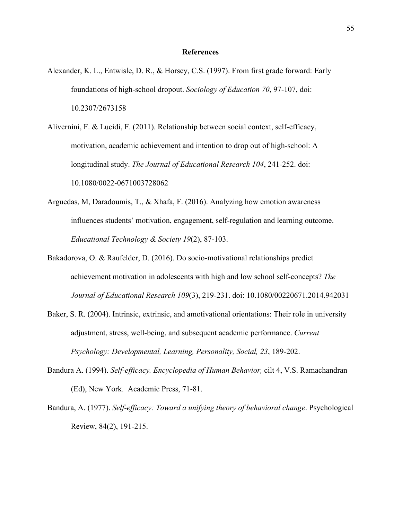#### **References**

- <span id="page-55-0"></span>Alexander, K. L., Entwisle, D. R., & Horsey, C.S. (1997). From first grade forward: Early foundations of high-school dropout. *Sociology of Education 70*, 97-107, doi: 10.2307/2673158
- Alivernini, F. & Lucidi, F. (2011). Relationship between social context, self-efficacy, motivation, academic achievement and intention to drop out of high-school: A longitudinal study. *The Journal of Educational Research 104*, 241-252. doi: 10.1080/0022-0671003728062
- Arguedas, M, Daradoumis, T., & Xhafa, F. (2016). Analyzing how emotion awareness influences students' motivation, engagement, self-regulation and learning outcome. *Educational Technology & Society 19*(2), 87-103.
- Bakadorova, O. & Raufelder, D. (2016). Do socio-motivational relationships predict achievement motivation in adolescents with high and low school self-concepts? *The Journal of Educational Research 109*(3), 219-231. doi: 10.1080/00220671.2014.942031
- Baker, S. R. (2004). Intrinsic, extrinsic, and amotivational orientations: Their role in university adjustment, stress, well-being, and subsequent academic performance. *Current Psychology: Developmental, Learning, Personality, Social, 23*, 189-202.
- Bandura A. (1994). *Self-efficacy. Encyclopedia of Human Behavior,* cilt 4, V.S. Ramachandran (Ed), New York. Academic Press, 71-81.
- Bandura, A. (1977). *Self-efficacy: Toward a unifying theory of behavioral change*. Psychological Review, 84(2), 191-215.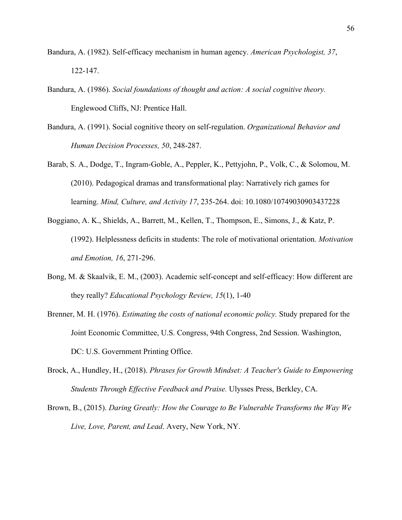- Bandura, A. (1982). Self-efficacy mechanism in human agency. *American Psychologist, 37*, 122-147.
- Bandura, A. (1986). *Social foundations of thought and action: A social cognitive theory.* Englewood Cliffs, NJ: Prentice Hall.
- Bandura, A. (1991). Social cognitive theory on self-regulation. *Organizational Behavior and Human Decision Processes, 50*, 248-287.
- Barab, S. A., Dodge, T., Ingram-Goble, A., Peppler, K., Pettyjohn, P., Volk, C., & Solomou, M. (2010). Pedagogical dramas and transformational play: Narratively rich games for learning. *Mind, Culture, and Activity 17*, 235-264. doi: 10.1080/10749030903437228
- Boggiano, A. K., Shields, A., Barrett, M., Kellen, T., Thompson, E., Simons, J., & Katz, P. (1992). Helplessness deficits in students: The role of motivational orientation. *Motivation and Emotion, 16*, 271-296.
- Bong, M. & Skaalvik, E. M., (2003). Academic self-concept and self-efficacy: How different are they really? *Educational Psychology Review, 15*(1), 1-40
- Brenner, M. H. (1976). *Estimating the costs of national economic policy.* Study prepared for the Joint Economic Committee, U.S. Congress, 94th Congress, 2nd Session. Washington, DC: U.S. Government Printing Office.
- Brock, A., Hundley, H., (2018). *Phrases for Growth Mindset: A Teacher's Guide to Empowering Students Through Effective Feedback and Praise.* Ulysses Press, Berkley, CA.
- Brown, B., (2015). *Daring Greatly: How the Courage to Be Vulnerable Transforms the Way We Live, Love, Parent, and Lead*. Avery, New York, NY.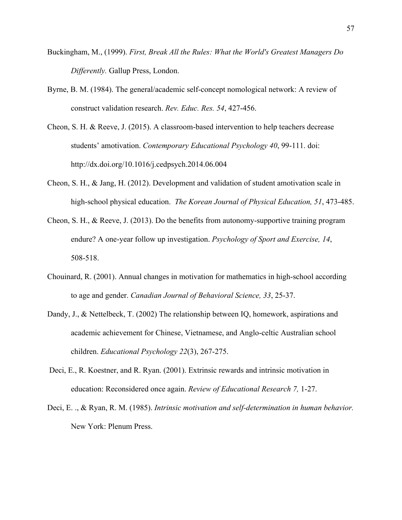- Buckingham, M., (1999). *First, Break All the Rules: What the World's Greatest Managers Do Differently.* Gallup Press, London.
- Byrne, B. M. (1984). The general/academic self-concept nomological network: A review of construct validation research. *Rev. Educ. Res. 54*, 427-456.
- Cheon, S. H. & Reeve, J. (2015). A classroom-based intervention to help teachers decrease students' amotivation. *Contemporary Educational Psychology 40*, 99-111. doi: http://dx.doi.org/10.1016/j.cedpsych.2014.06.004
- Cheon, S. H., & Jang, H. (2012). Development and validation of student amotivation scale in high-school physical education. *The Korean Journal of Physical Education, 51*, 473-485.
- Cheon, S. H., & Reeve, J. (2013). Do the benefits from autonomy-supportive training program endure? A one-year follow up investigation. *Psychology of Sport and Exercise, 14*, 508-518.
- Chouinard, R. (2001). Annual changes in motivation for mathematics in high-school according to age and gender. *Canadian Journal of Behavioral Science, 33*, 25-37.
- Dandy, J., & Nettelbeck, T. (2002) The relationship between IQ, homework, aspirations and academic achievement for Chinese, Vietnamese, and Anglo-celtic Australian school children. *Educational Psychology 22*(3), 267-275.
- Deci, E., R. Koestner, and R. Ryan. (2001). Extrinsic rewards and intrinsic motivation in education: Reconsidered once again. *Review of Educational Research 7,* 1-27.
- Deci, E. ., & Ryan, R. M. (1985). *Intrinsic motivation and self-determination in human behavior.* New York: Plenum Press.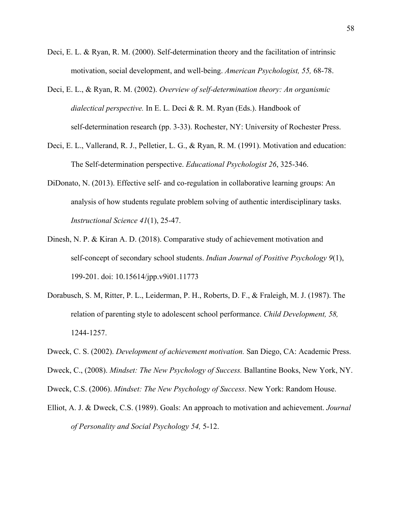- Deci, E. L. & Ryan, R. M. (2000). Self-determination theory and the facilitation of intrinsic motivation, social development, and well-being. *American Psychologist, 55,* 68-78.
- Deci, E. L., & Ryan, R. M. (2002). *Overview of self-determination theory: An organismic dialectical perspective.* In E. L. Deci & R. M. Ryan (Eds.). Handbook of self-determination research (pp. 3-33). Rochester, NY: University of Rochester Press.
- Deci, E. L., Vallerand, R. J., Pelletier, L. G., & Ryan, R. M. (1991). Motivation and education: The Self-determination perspective. *Educational Psychologist 26*, 325-346.
- DiDonato, N. (2013). Effective self- and co-regulation in collaborative learning groups: An analysis of how students regulate problem solving of authentic interdisciplinary tasks. *Instructional Science 41*(1), 25-47.
- Dinesh, N. P. & Kiran A. D. (2018). Comparative study of achievement motivation and self-concept of secondary school students. *Indian Journal of Positive Psychology 9*(1), 199-201. doi: 10.15614/jpp.v9i01.11773
- Dorabusch, S. M, Ritter, P. L., Leiderman, P. H., Roberts, D. F., & Fraleigh, M. J. (1987). The relation of parenting style to adolescent school performance. *Child Development, 58,* 1244-1257.
- Dweck, C. S. (2002). *Development of achievement motivation.* San Diego, CA: Academic Press.
- Dweck, C., (2008). *Mindset: The New Psychology of Success.* Ballantine Books, New York, NY.
- Dweck, C.S. (2006). *Mindset: The New Psychology of Success*. New York: Random House.
- Elliot, A. J. & Dweck, C.S. (1989). Goals: An approach to motivation and achievement. *Journal of Personality and Social Psychology 54,* 5-12.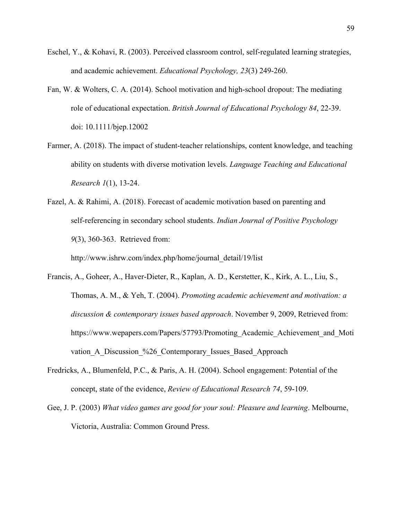- Eschel, Y., & Kohavi, R. (2003). Perceived classroom control, self-regulated learning strategies, and academic achievement. *Educational Psychology, 23*(3) 249-260.
- Fan, W. & Wolters, C. A. (2014). School motivation and high-school dropout: The mediating role of educational expectation. *British Journal of Educational Psychology 84*, 22-39. doi: 10.1111/bjep.12002
- Farmer, A. (2018). The impact of student-teacher relationships, content knowledge, and teaching ability on students with diverse motivation levels. *Language Teaching and Educational Research 1*(1), 13-24.
- Fazel, A. & Rahimi, A. (2018). Forecast of academic motivation based on parenting and self-referencing in secondary school students. *Indian Journal of Positive Psychology 9*(3), 360-363. Retrieved from:

http://www.ishrw.com/index.php/home/journal\_detail/19/list

- Francis, A., Goheer, A., Haver-Dieter, R., Kaplan, A. D., Kerstetter, K., Kirk, A. L., Liu, S., Thomas, A. M., & Yeh, T. (2004). *Promoting academic achievement and motivation: a discussion & contemporary issues based approach*. November 9, 2009, Retrieved from[:](https://www.wepapers.com/Papers/57793/Promoting_Academic_Achievement_and_Motivation_A_Discussion_%26_Contemporary_Issues_Based) [https://www.wepapers.com/Papers/57793/Promoting\\_Academic\\_Achievement\\_and\\_Moti](https://www.wepapers.com/Papers/57793/Promoting_Academic_Achievement_and_Motivation_A_Discussion_%26_Contemporary_Issues_Based) vation A Discussion %26 Contemporary Issues Based Approach
- Fredricks, A., Blumenfeld, P.C., & Paris, A. H. (2004). School engagement: Potential of the concept, state of the evidence, *Review of Educational Research 74*, 59-109.
- Gee, J. P. (2003) *What video games are good for your soul: Pleasure and learning*. Melbourne, Victoria, Australia: Common Ground Press.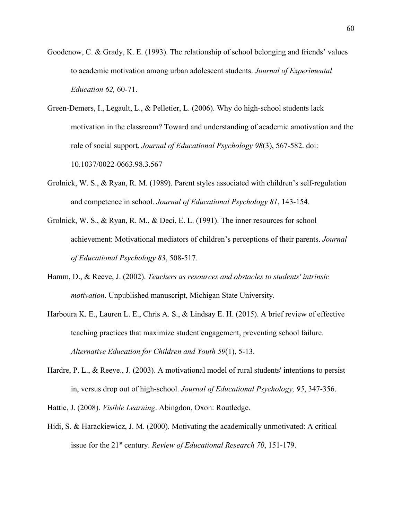- Goodenow, C. & Grady, K. E. (1993). The relationship of school belonging and friends' values to academic motivation among urban adolescent students. *Journal of Experimental Education 62,* 60-71.
- Green-Demers, I., Legault, L., & Pelletier, L. (2006). Why do high-school students lack motivation in the classroom? Toward and understanding of academic amotivation and the role of social support. *Journal of Educational Psychology 98*(3), 567-582. doi: 10.1037/0022-0663.98.3.567
- Grolnick, W. S., & Ryan, R. M. (1989). Parent styles associated with children's self-regulation and competence in school. *Journal of Educational Psychology 81*, 143-154.
- Grolnick, W. S., & Ryan, R. M., & Deci, E. L. (1991). The inner resources for school achievement: Motivational mediators of children's perceptions of their parents. *Journal of Educational Psychology 83*, 508-517.
- Hamm, D., & Reeve, J. (2002). *Teachers as resources and obstacles to students' intrinsic motivation*. Unpublished manuscript, Michigan State University.
- Harboura K. E., Lauren L. E., Chris A. S., & Lindsay E. H. (2015). A brief review of effective teaching practices that maximize student engagement, preventing school failure. *Alternative Education for Children and Youth 59*(1), 5-13.
- Hardre, P. L., & Reeve., J. (2003). A motivational model of rural students' intentions to persist in, versus drop out of high-school. *Journal of Educational Psychology, 95*, 347-356.

Hattie, J. (2008). *Visible Learning*. Abingdon, Oxon: Routledge.

Hidi, S. & Harackiewicz, J. M. (2000). Motivating the academically unmotivated: A critical issue for the 21<sup>st</sup> century. *Review of Educational Research 70*, 151-179.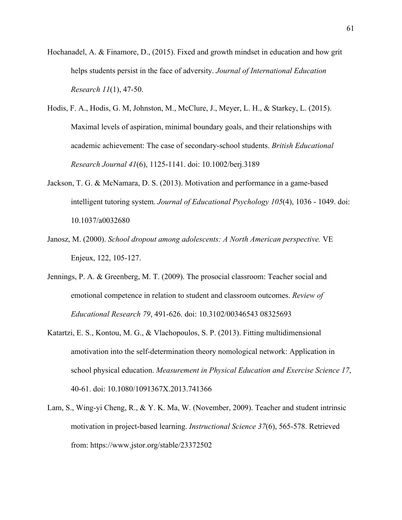- Hochanadel, A. & Finamore, D., (2015). Fixed and growth mindset in education and how grit helps students persist in the face of adversity. *Journal of International Education Research 11*(1), 47-50.
- Hodis, F. A., Hodis, G. M, Johnston, M., McClure, J., Meyer, L. H., & Starkey, L. (2015). Maximal levels of aspiration, minimal boundary goals, and their relationships with academic achievement: The case of secondary-school students. *British Educational Research Journal 41*(6), 1125-1141. doi: 10.1002/berj.3189
- Jackson, T. G. & McNamara, D. S. (2013). Motivation and performance in a game-based intelligent tutoring system. *Journal of Educational Psychology 105*(4), 1036 - 1049. doi: 10.1037/a0032680
- Janosz, M. (2000). *School dropout among adolescents: A North American perspective.* VE Enjeux, 122, 105-127.
- Jennings, P. A. & Greenberg, M. T. (2009). The prosocial classroom: Teacher social and emotional competence in relation to student and classroom outcomes. *Review of Educational Research 79*, 491-626. doi: 10.3102/00346543 08325693
- Katartzi, E. S., Kontou, M. G., & Vlachopoulos, S. P. (2013). Fitting multidimensional amotivation into the self-determination theory nomological network: Application in school physical education. *Measurement in Physical Education and Exercise Science 17*, 40-61. doi: 10.1080/1091367X.2013.741366
- Lam, S., Wing-yi Cheng, R., & Y. K. Ma, W. (November, 2009). Teacher and student intrinsic motivation in project-based learning. *Instructional Science 37*(6), 565-578. Retrieved from: https://www.jstor.org/stable/23372502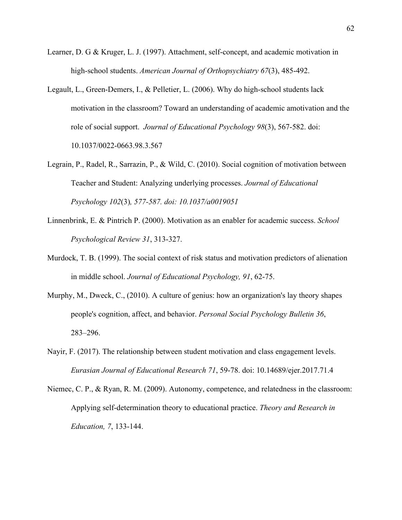- Learner, D. G & Kruger, L. J. (1997). Attachment, self-concept, and academic motivation in high-school students. *American Journal of Orthopsychiatry 67*(3), 485-492.
- Legault, L., Green-Demers, I., & Pelletier, L. (2006). Why do high-school students lack motivation in the classroom? Toward an understanding of academic amotivation and the role of social support. *Journal of Educational Psychology 98*(3), 567-582. doi: 10.1037/0022-0663.98.3.567
- Legrain, P., Radel, R., Sarrazin, P., & Wild, C. (2010). Social cognition of motivation between Teacher and Student: Analyzing underlying processes. *Journal of Educational Psychology 102*(3)*, 577-587. doi: 10.1037/a0019051*
- Linnenbrink, E. & Pintrich P. (2000). Motivation as an enabler for academic success. *School Psychological Review 31*, 313-327.
- Murdock, T. B. (1999). The social context of risk status and motivation predictors of alienation in middle school. *Journal of Educational Psychology, 91*, 62-75.
- Murphy, M., Dweck, C., (2010). A culture of genius: how an organization's lay theory shapes people's cognition, affect, and behavior. *Personal Social Psychology Bulletin 36*, 283–296.
- Nayir, F. (2017). The relationship between student motivation and class engagement levels. *Eurasian Journal of Educational Research 71*, 59-78. doi: 10.14689/ejer.2017.71.4
- Niemec, C. P., & Ryan, R. M. (2009). Autonomy, competence, and relatedness in the classroom: Applying self-determination theory to educational practice. *Theory and Research in Education, 7*, 133-144.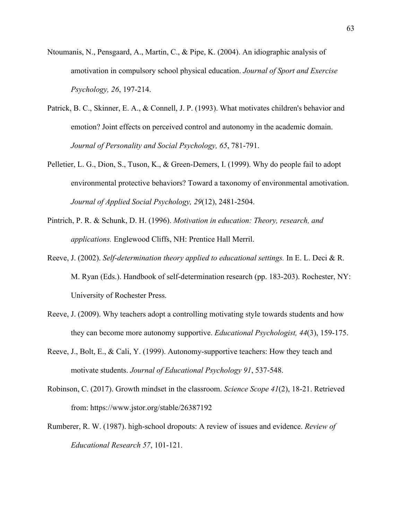- Ntoumanis, N., Pensgaard, A., Martin, C., & Pipe, K. (2004). An idiographic analysis of amotivation in compulsory school physical education. *Journal of Sport and Exercise Psychology, 26*, 197-214.
- Patrick, B. C., Skinner, E. A., & Connell, J. P. (1993). What motivates children's behavior and emotion? Joint effects on perceived control and autonomy in the academic domain. *Journal of Personality and Social Psychology, 65*, 781-791.
- Pelletier, L. G., Dion, S., Tuson, K., & Green-Demers, I. (1999). Why do people fail to adopt environmental protective behaviors? Toward a taxonomy of environmental amotivation. *Journal of Applied Social Psychology, 29*(12), 2481-2504.
- Pintrich, P. R. & Schunk, D. H. (1996). *Motivation in education: Theory, research, and applications.* Englewood Cliffs, NH: Prentice Hall Merril.
- Reeve, J. (2002). *Self-determination theory applied to educational settings.* In E. L. Deci & R. M. Ryan (Eds.). Handbook of self-determination research (pp. 183-203). Rochester, NY: University of Rochester Press.
- Reeve, J. (2009). Why teachers adopt a controlling motivating style towards students and how they can become more autonomy supportive. *Educational Psychologist, 44*(3), 159-175.
- Reeve, J., Bolt, E., & Cali, Y. (1999). Autonomy-supportive teachers: How they teach and motivate students. *Journal of Educational Psychology 91*, 537-548.
- Robinson, C. (2017). Growth mindset in the classroom. *Science Scope 41*(2), 18-21. Retrieved from:<https://www.jstor.org/stable/26387192>
- Rumberer, R. W. (1987). high-school dropouts: A review of issues and evidence. *Review of Educational Research 57*, 101-121.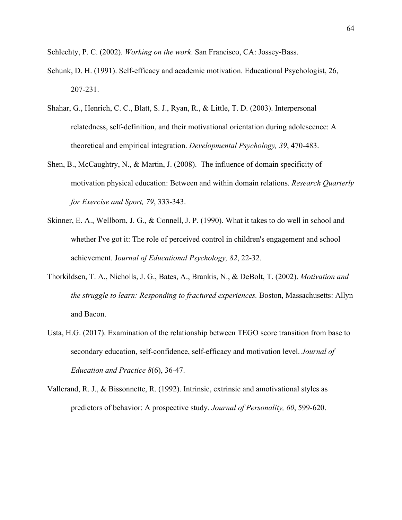Schlechty, P. C. (2002). *Working on the work*. San Francisco, CA: Jossey-Bass.

- Schunk, D. H. (1991). Self-efficacy and academic motivation. Educational Psychologist, 26, 207-231.
- Shahar, G., Henrich, C. C., Blatt, S. J., Ryan, R., & Little, T. D. (2003). Interpersonal relatedness, self-definition, and their motivational orientation during adolescence: A theoretical and empirical integration. *Developmental Psychology, 39*, 470-483.
- Shen, B., McCaughtry, N., & Martin, J. (2008). The influence of domain specificity of motivation physical education: Between and within domain relations. *Research Quarterly for Exercise and Sport, 79*, 333-343.
- Skinner, E. A., Wellborn, J. G., & Connell, J. P. (1990). What it takes to do well in school and whether I've got it: The role of perceived control in children's engagement and school achievement. J*ournal of Educational Psychology, 82*, 22-32.
- Thorkildsen, T. A., Nicholls, J. G., Bates, A., Brankis, N., & DeBolt, T. (2002). *Motivation and the struggle to learn: Responding to fractured experiences.* Boston, Massachusetts: Allyn and Bacon.
- Usta, H.G. (2017). Examination of the relationship between TEGO score transition from base to secondary education, self-confidence, self-efficacy and motivation level. *Journal of Education and Practice 8*(6), 36-47.
- Vallerand, R. J., & Bissonnette, R. (1992). Intrinsic, extrinsic and amotivational styles as predictors of behavior: A prospective study. *Journal of Personality, 60*, 599-620.